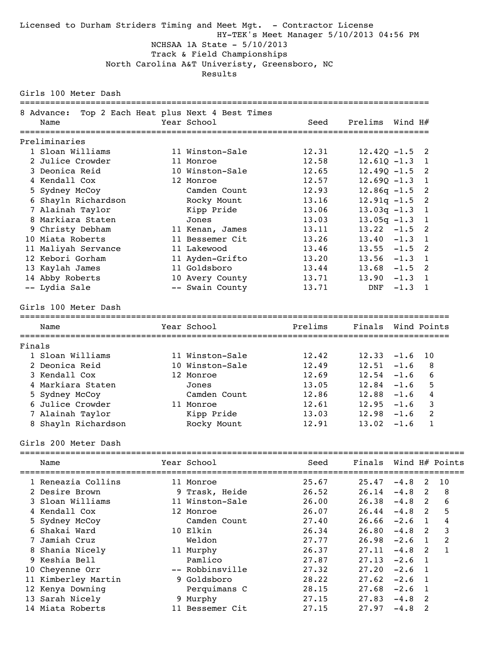### Licensed to Durham Striders Timing and Meet Mgt. - Contractor License HY-TEK's Meet Manager 5/10/2013 04:56 PM NCHSAA 1A State - 5/10/2013 Track & Field Championships North Carolina A&T Univeristy, Greensboro, NC Results

Girls 100 Meter Dash

|        | 8 Advance:           | Top 2 Each Heat plus Next 4 Best Times |                                     |                    |         |                |
|--------|----------------------|----------------------------------------|-------------------------------------|--------------------|---------|----------------|
|        | Name                 | Year School                            | Seed                                | Prelims            | Wind H# |                |
|        |                      |                                        |                                     |                    |         |                |
|        | Preliminaries        |                                        |                                     |                    |         |                |
|        | 1 Sloan Williams     | 11 Winston-Sale                        | 12.31                               | $12.42Q - 1.5$     |         | 2              |
|        | 2 Julice Crowder     | 11 Monroe                              | 12.58                               | $12.610 - 1.3$     |         | $\overline{1}$ |
|        | 3 Deonica Reid       | 10 Winston-Sale                        | 12.65                               | $12.490 - 1.5$     |         | 2              |
|        | 4 Kendall Cox        | 12 Monroe                              | 12.57                               | $12.690 - 1.3$     |         | 1              |
|        | 5 Sydney McCoy       | Camden Count                           | 12.93                               | $12.86q - 1.5$     |         | 2              |
|        | 6 Shayln Richardson  | Rocky Mount                            | 13.16                               | $12.91q - 1.5$     |         | 2              |
|        | 7 Alainah Taylor     | Kipp Pride                             | 13.06                               | $13.03q -1.3$      |         | $\mathbf{1}$   |
|        | 8 Markiara Staten    | Jones                                  | 13.03                               | $13.05q - 1.3$     |         | 1              |
|        | 9 Christy Debham     | 11 Kenan, James                        | 13.11                               | $13.22 - 1.5$      |         | 2              |
|        | 10 Miata Roberts     | 11 Bessemer Cit                        | 13.26                               | 13.40              | $-1.3$  | $\overline{1}$ |
|        | 11 Maliyah Servance  | 11 Lakewood                            | 13.46                               | $13.55 - 1.5$      |         | 2              |
|        | 12 Kebori Gorham     | 11 Ayden-Grifto                        | 13.20                               | 13.56              | $-1.3$  | $\overline{1}$ |
|        | 13 Kaylah James      | 11 Goldsboro                           | 13.44                               | 13.68              | $-1.5$  | 2              |
|        | 14 Abby Roberts      | 10 Avery County                        | 13.71                               | 13.90              | $-1.3$  | $\mathbf{1}$   |
|        | -- Lydia Sale        | -- Swain County                        | 13.71                               | DNF                | $-1.3$  | 1              |
|        |                      |                                        |                                     |                    |         |                |
|        | Girls 100 Meter Dash |                                        |                                     |                    |         |                |
|        | Name                 | Year School                            | Prelims                             | Finals Wind Points |         |                |
| Finals |                      | ==================                     | =================================== |                    |         |                |
|        | 1 Sloan Williams     | 11 Winston-Sale                        | 12.42                               | 12.33              | $-1.6$  | 10             |
|        | 2 Deonica Reid       | 10 Winston-Sale                        | 12.49                               | 12.51              | $-1.6$  |                |
|        | 3 Kendall Cox        | 12 Monroe                              | 12.69                               | 12.54              | $-1.6$  |                |
|        | 4 Markiara Staten    | Jones                                  | 13.05                               | 12.84              | $-1.6$  | 8<br>6<br>5    |
|        | 5 Sydney McCoy       | Camden Count                           | 12.86                               | 12.88              | $-1.6$  | 4              |
|        | 6 Julice Crowder     | 11 Monroe                              | 12.61                               | 12.95              | $-1.6$  | 3              |
|        | 7 Alainah Taylor     | Kipp Pride                             | 13.03                               | 12.98              | $-1.6$  | 2              |

Girls 200 Meter Dash

| Name                | Year School     | Seed  | Finals Wind H# Points |          |                |    |
|---------------------|-----------------|-------|-----------------------|----------|----------------|----|
| 1 Reneazia Collins  | 11 Monroe       | 25.67 | 25.47                 | $-4.8$   | 2              | 10 |
| 2 Desire Brown      | 9 Trask, Heide  | 26.52 | 26.14                 | $-4.8$ 2 |                | 8  |
| 3 Sloan Williams    | 11 Winston-Sale | 26.00 | 26.38                 | $-4.8$   | $\overline{2}$ | 6  |
| 4 Kendall Cox       | 12 Monroe       | 26.07 | 26.44                 | $-4.8$   | -2             | 5  |
| 5 Sydney McCoy      | Camden Count    | 27.40 | 26.66                 | $-2.6$   | $\overline{1}$ | 4  |
| 6 Shakai Ward       | 10 Elkin        | 26.34 | 26.80                 | $-4.8$   | $\overline{2}$ | 3  |
| Jamiah Cruz         | Weldon          | 27.77 | 26.98                 | $-2.6$   | $\mathbf{1}$   | 2  |
| 8 Shania Nicely     | 11 Murphy       | 26.37 | 27.11                 | $-4.8$   | $\mathcal{L}$  |    |
| 9 Keshia Bell       | Pamlico         | 27.87 | 27.13                 | $-2.6$   | $\overline{1}$ |    |
| 10 Cheyenne Orr     | -- Robbinsville | 27.32 | 27.20                 | $-2.6$   |                |    |
| 11 Kimberley Martin | 9 Goldsboro     | 28.22 | 27.62                 | $-2.6$   |                |    |
| 12 Kenya Downing    | Perquimans C    | 28.15 | 27.68                 | $-2.6$   | $\blacksquare$ |    |
| 13 Sarah Nicely     | 9 Murphy        | 27.15 | 27.83                 | $-4.8$   | -2             |    |
| 14 Miata Roberts    | 11 Bessemer Cit | 27.15 | 27.97                 | $-4.8$   |                |    |
|                     |                 |       |                       |          |                |    |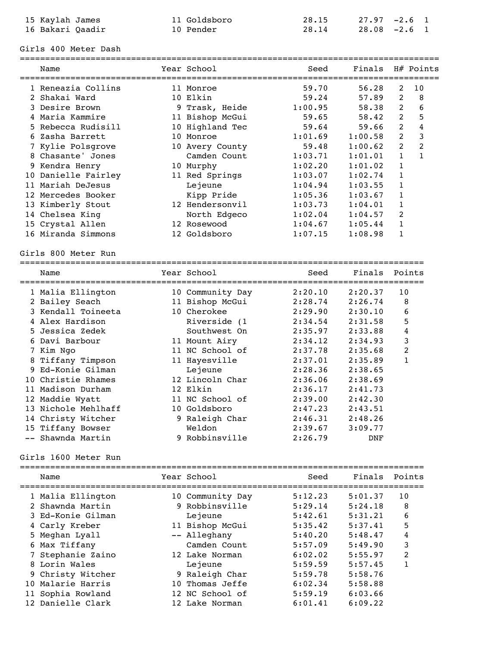| 15 Kaylah James  | 11 Goldsboro | 28.15 | $27.97 - 2.6$ 1 |  |
|------------------|--------------|-------|-----------------|--|
| 16 Bakari Oaadir | 10 Pender    | 28.14 | 28.08 -2.6 1    |  |

### Girls 400 Meter Dash

| Name                | Year School      | Seed    | Finals H# Points |                |                |
|---------------------|------------------|---------|------------------|----------------|----------------|
|                     |                  |         |                  |                |                |
| 1 Reneazia Collins  | 11 Monroe        | 59.70   | 56.28            | 2              | 10             |
| 2 Shakai Ward       | 10 Elkin         | 59.24   | 57.89            | 2              | 8              |
| 3 Desire Brown      | 9 Trask, Heide   | 1:00.95 | 58.38            | 2              | 6              |
| 4 Maria Kammire     | 11 Bishop McGui  | 59.65   | 58.42            | 2              | 5              |
| 5 Rebecca Rudisill  | 10 Highland Tec  | 59.64   | 59.66            | 2              | 4              |
| 6 Zasha Barrett     | 10 Monroe        | 1:01.69 | 1:00.58          | $\overline{2}$ | 3              |
| 7 Kylie Polsgrove   | 10 Avery County  | 59.48   | 1:00.62          | $\overline{2}$ | $\overline{2}$ |
| 8 Chasante' Jones   | Camden Count     | 1:03.71 | 1:01.01          | $\mathbf{1}$   | $\mathbf{1}$   |
| 9 Kendra Henry      | 10 Murphy        | 1:02.20 | 1:01.02          | $\mathbf{1}$   |                |
| 10 Danielle Fairley | 11 Red Springs   | 1:03.07 | 1:02.74          | $\mathbf{1}$   |                |
| 11 Mariah DeJesus   | Lejeune          | 1:04.94 | 1:03.55          | $\mathbf{1}$   |                |
| 12 Mercedes Booker  | Kipp Pride       | 1:05.36 | 1:03.67          | $\mathbf{1}$   |                |
| 13 Kimberly Stout   | 12 Hendersonvil  | 1:03.73 | 1:04.01          | $\mathbf{1}$   |                |
| 14 Chelsea King     | North Edgeco     | 1:02.04 | 1:04.57          | $\overline{2}$ |                |
| 15 Crystal Allen    | 12 Rosewood      | 1:04.67 | 1:05.44          | $\mathbf{1}$   |                |
| 16 Miranda Simmons  | 12 Goldsboro     | 1:07.15 | 1:08.98          | $\mathbf{1}$   |                |
|                     |                  |         |                  |                |                |
| Girls 800 Meter Run |                  |         |                  |                |                |
| Name                | Year School      | Seed    | Finals           |                | Points         |
|                     |                  |         |                  |                |                |
| 1 Malia Ellington   | 10 Community Day | 2:20.10 | 2:20.37          | 10             |                |
| 2 Bailey Seach      | 11 Bishop McGui  | 2:28.74 | 2:26.74          | 8              |                |
| 3 Kendall Toineeta  | 10 Cherokee      | 2:29.90 | 2:30.10          | 6              |                |
| 4 Alex Hardison     | Riverside (1     | 2:34.54 | 2:31.58          | 5              |                |
| 5 Jessica Zedek     | Southwest On     | 2:35.97 | 2:33.88          | 4              |                |
| 6 Davi Barbour      | 11 Mount Airy    | 2:34.12 | 2:34.93          | 3              |                |
| 7 Kim Ngo           | 11 NC School of  | 2:37.78 | 2:35.68          | $\overline{c}$ |                |
| 8 Tiffany Timpson   | 11 Hayesville    | 2:37.01 | 2:35.89          | $\mathbf{1}$   |                |
| 9 Ed-Konie Gilman   | Lejeune          | 2:28.36 | 2:38.65          |                |                |
| 10 Christie Rhames  | 12 Lincoln Char  | 2:36.06 | 2:38.69          |                |                |
| 11 Madison Durham   | 12 Elkin         | 2:36.17 | 2:41.73          |                |                |
| 12 Maddie Wyatt     | 11 NC School of  | 2:39.00 | 2:42.30          |                |                |
| 13 Nichole Mehlhaff | 10 Goldsboro     | 2:47.23 | 2:43.51          |                |                |
| 14 Christy Witcher  | 9 Raleigh Char   | 2:46.31 | 2:48.26          |                |                |
| 15 Tiffany Bowser   | Weldon           | 2:39.67 | 3:09.77          |                |                |

Girls 1600 Meter Run

| Name              | Year School      | Seed    | Finals  | Points                  |
|-------------------|------------------|---------|---------|-------------------------|
| 1 Malia Ellington | 10 Community Day | 5:12.23 | 5:01.37 | 10                      |
| 2 Shawnda Martin  | 9 Robbinsville   | 5:29.14 | 5:24.18 | 8                       |
| 3 Ed-Konie Gilman | Lejeune          | 5:42.61 | 5:31.21 | 6                       |
| 4 Carly Kreber    | 11 Bishop McGui  | 5:35.42 | 5:37.41 | 5                       |
| 5 Meghan Lyall    | -- Alleghany     | 5:40.20 | 5:48.47 | 4                       |
| 6 Max Tiffany     | Camden Count     | 5:57.09 | 5:49.90 | 3                       |
| 7 Stephanie Zaino | 12 Lake Norman   | 6:02.02 | 5:55.97 | $\overline{\mathbf{c}}$ |
| 8 Lorin Wales     | Lejeune          | 5:59.59 | 5:57.45 |                         |
| 9 Christy Witcher | 9 Raleigh Char   | 5:59.78 | 5:58.76 |                         |
| 10 Malarie Harris | 10 Thomas Jeffe  | 6:02.34 | 5:58.88 |                         |
| 11 Sophia Rowland | 12 NC School of  | 5:59.19 | 6:03.66 |                         |
| 12 Danielle Clark | 12 Lake Norman   | 6:01.41 | 6:09.22 |                         |

-- Shawnda Martin 9 Robbinsville 2:26.79 DNF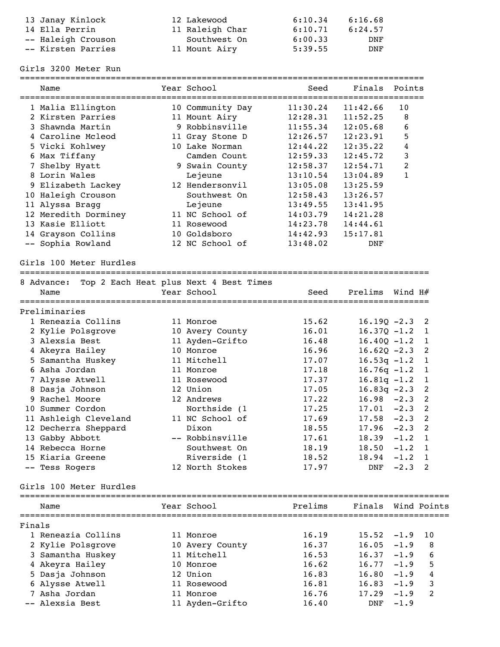| 13 Janay Kinlock   | 12 Lakewood     | 6:10.34 | 6:16.68 |
|--------------------|-----------------|---------|---------|
| 14 Ella Perrin     | 11 Raleigh Char | 6:10.71 | 6:24.57 |
| -- Haleigh Crouson | Southwest On    | 6:00.33 | DNF     |
| -- Kirsten Parries | 11 Mount Airy   | 5:39.55 | DNF     |

Girls 3200 Meter Run

| 11:30.24<br>11:42.66<br>10<br>1 Malia Ellington<br>10 Community Day<br>2 Kirsten Parries<br>11 Mount Airy<br>12:28.31<br>11:52.25<br>8<br>9 Robbinsville<br>3 Shawnda Martin<br>11:55.34<br>12:05.68<br>6<br>5<br>4 Caroline Mcleod<br>12:26.57<br>12:23.91<br>11 Gray Stone D<br>4<br>5 Vicki Kohlwey<br>10 Lake Norman<br>12:44.22<br>12:35.22<br>3<br>6 Max Tiffany<br>Camden Count<br>12:59.33<br>12:45.72<br>2<br>7 Shelby Hyatt<br>9 Swain County<br>12:58.37<br>12:54.71<br>8 Lorin Wales<br>$\mathbf{1}$<br>Lejeune<br>13:10.54<br>13:04.89<br>9 Elizabeth Lackey<br>12 Hendersonvil<br>13:05.08<br>13:25.59<br>10 Haleigh Crouson<br>Southwest On<br>12:58.43<br>13:26.57<br>11 Alyssa Bragg<br>Lejeune<br>13:49.55<br>13:41.95<br>12 Meredith Dorminey<br>11 NC School of<br>14:03.79<br>14:21.28<br>13 Kasie Elliott<br>14:23.78<br>14:44.61<br>11 Rosewood<br>14 Grayson Collins<br>10 Goldsboro<br>14:42.93<br>15:17.81<br>-- Sophia Rowland<br>12 NC School of<br>13:48.02<br>DNF<br>Girls 100 Meter Hurdles<br>Top 2 Each Heat plus Next 4 Best Times<br>8 Advance:<br>Year School<br>Prelims<br>Seed<br>Wind $H#$<br>Name<br>Preliminaries<br>1 Reneazia Collins<br>15.62<br>$16.19Q - 2.3$<br>2<br>11 Monroe<br>2 Kylie Polsgrove<br>10 Avery County<br>16.01<br>$16.37Q - 1.2$<br>1<br>3 Alexsia Best<br>11 Ayden-Grifto<br>16.48<br>$16.40Q - 1.2$<br>1<br>4 Akeyra Hailey<br>10 Monroe<br>16.96<br>$16.62Q - 2.3$<br>2<br>5 Samantha Huskey<br>11 Mitchell<br>$16.53q -1.2$<br>17.07<br>1<br>6 Asha Jordan<br>$16.76q - 1.2$<br>11 Monroe<br>17.18<br>1<br>$16.81q - 1.2$<br>7 Alysse Atwell<br>11 Rosewood<br>17.37<br>1<br>8 Dasja Johnson<br>12 Union<br>$16.83q -2.3$<br>2<br>17.05<br>9 Rachel Moore<br>12 Andrews<br>16.98<br>2<br>17.22<br>$-2.3$<br>10 Summer Cordon<br>Northside (1<br>$-2.3$<br>2<br>17.25<br>17.01<br>11 Ashleigh Cleveland<br>11 NC School of<br>$-2.3$<br>2<br>17.69<br>17.58<br>12 Decherra Sheppard<br>Dixon<br>$-2.3$<br>2<br>18.55<br>17.96<br>13 Gabby Abbott<br>-- Robbinsville<br>$\mathbf{1}$<br>17.61<br>18.39<br>$-1.2$<br>14 Rebecca Horne<br>Southwest On<br>18.19<br>18.50<br>$-1.2$<br>1<br>15 Kiaria Greene<br>Riverside (1<br>18.52<br>18.94<br>$-1.2$<br>1<br>12 North Stokes<br>17.97<br>$-2.3$ 2<br>-- Tess Rogers<br>DNF<br>Girls 100 Meter Hurdles<br>Prelims<br>Year School<br>Name<br>Finals<br>1 Reneazia Collins<br>16.19<br>11 Monroe<br>15.52<br>$-1.9$<br>10<br>16.37<br>2 Kylie Polsgrove<br>16.05<br>$-1.9$<br>8<br>10 Avery County<br>11 Mitchell<br>16.53<br>3 Samantha Huskey<br>16.37<br>$-1.9$<br>6<br>4 Akeyra Hailey<br>16.62<br>$-1.9$<br>10 Monroe<br>16.77<br>5<br>5 Dasja Johnson<br>12 Union<br>16.83<br>$-1.9$<br>16.80<br>4<br>3<br>6 Alysse Atwell<br>11 Rosewood<br>16.81<br>16.83<br>$-1.9$<br>7 Asha Jordan<br>11 Monroe<br>16.76<br>17.29<br>$-1.9$<br>2<br>-- Alexsia Best<br>11 Ayden-Grifto<br>DNF | ============================<br>Name | ================<br>Year School | ====================================<br>Seed | Finals | Points |  |
|---------------------------------------------------------------------------------------------------------------------------------------------------------------------------------------------------------------------------------------------------------------------------------------------------------------------------------------------------------------------------------------------------------------------------------------------------------------------------------------------------------------------------------------------------------------------------------------------------------------------------------------------------------------------------------------------------------------------------------------------------------------------------------------------------------------------------------------------------------------------------------------------------------------------------------------------------------------------------------------------------------------------------------------------------------------------------------------------------------------------------------------------------------------------------------------------------------------------------------------------------------------------------------------------------------------------------------------------------------------------------------------------------------------------------------------------------------------------------------------------------------------------------------------------------------------------------------------------------------------------------------------------------------------------------------------------------------------------------------------------------------------------------------------------------------------------------------------------------------------------------------------------------------------------------------------------------------------------------------------------------------------------------------------------------------------------------------------------------------------------------------------------------------------------------------------------------------------------------------------------------------------------------------------------------------------------------------------------------------------------------------------------------------------------------------------------------------------------------------------------------------------------------------------------------------------------------------------------------------------------------------------------------------------------------------------------------------------------------------------------------------------------------------------------------------------------------------------------------------------------------------------------------------|--------------------------------------|---------------------------------|----------------------------------------------|--------|--------|--|
|                                                                                                                                                                                                                                                                                                                                                                                                                                                                                                                                                                                                                                                                                                                                                                                                                                                                                                                                                                                                                                                                                                                                                                                                                                                                                                                                                                                                                                                                                                                                                                                                                                                                                                                                                                                                                                                                                                                                                                                                                                                                                                                                                                                                                                                                                                                                                                                                                                                                                                                                                                                                                                                                                                                                                                                                                                                                                                         |                                      |                                 |                                              |        |        |  |
|                                                                                                                                                                                                                                                                                                                                                                                                                                                                                                                                                                                                                                                                                                                                                                                                                                                                                                                                                                                                                                                                                                                                                                                                                                                                                                                                                                                                                                                                                                                                                                                                                                                                                                                                                                                                                                                                                                                                                                                                                                                                                                                                                                                                                                                                                                                                                                                                                                                                                                                                                                                                                                                                                                                                                                                                                                                                                                         |                                      |                                 |                                              |        |        |  |
|                                                                                                                                                                                                                                                                                                                                                                                                                                                                                                                                                                                                                                                                                                                                                                                                                                                                                                                                                                                                                                                                                                                                                                                                                                                                                                                                                                                                                                                                                                                                                                                                                                                                                                                                                                                                                                                                                                                                                                                                                                                                                                                                                                                                                                                                                                                                                                                                                                                                                                                                                                                                                                                                                                                                                                                                                                                                                                         |                                      |                                 |                                              |        |        |  |
|                                                                                                                                                                                                                                                                                                                                                                                                                                                                                                                                                                                                                                                                                                                                                                                                                                                                                                                                                                                                                                                                                                                                                                                                                                                                                                                                                                                                                                                                                                                                                                                                                                                                                                                                                                                                                                                                                                                                                                                                                                                                                                                                                                                                                                                                                                                                                                                                                                                                                                                                                                                                                                                                                                                                                                                                                                                                                                         |                                      |                                 |                                              |        |        |  |
|                                                                                                                                                                                                                                                                                                                                                                                                                                                                                                                                                                                                                                                                                                                                                                                                                                                                                                                                                                                                                                                                                                                                                                                                                                                                                                                                                                                                                                                                                                                                                                                                                                                                                                                                                                                                                                                                                                                                                                                                                                                                                                                                                                                                                                                                                                                                                                                                                                                                                                                                                                                                                                                                                                                                                                                                                                                                                                         |                                      |                                 |                                              |        |        |  |
|                                                                                                                                                                                                                                                                                                                                                                                                                                                                                                                                                                                                                                                                                                                                                                                                                                                                                                                                                                                                                                                                                                                                                                                                                                                                                                                                                                                                                                                                                                                                                                                                                                                                                                                                                                                                                                                                                                                                                                                                                                                                                                                                                                                                                                                                                                                                                                                                                                                                                                                                                                                                                                                                                                                                                                                                                                                                                                         |                                      |                                 |                                              |        |        |  |
|                                                                                                                                                                                                                                                                                                                                                                                                                                                                                                                                                                                                                                                                                                                                                                                                                                                                                                                                                                                                                                                                                                                                                                                                                                                                                                                                                                                                                                                                                                                                                                                                                                                                                                                                                                                                                                                                                                                                                                                                                                                                                                                                                                                                                                                                                                                                                                                                                                                                                                                                                                                                                                                                                                                                                                                                                                                                                                         |                                      |                                 |                                              |        |        |  |
|                                                                                                                                                                                                                                                                                                                                                                                                                                                                                                                                                                                                                                                                                                                                                                                                                                                                                                                                                                                                                                                                                                                                                                                                                                                                                                                                                                                                                                                                                                                                                                                                                                                                                                                                                                                                                                                                                                                                                                                                                                                                                                                                                                                                                                                                                                                                                                                                                                                                                                                                                                                                                                                                                                                                                                                                                                                                                                         |                                      |                                 |                                              |        |        |  |
|                                                                                                                                                                                                                                                                                                                                                                                                                                                                                                                                                                                                                                                                                                                                                                                                                                                                                                                                                                                                                                                                                                                                                                                                                                                                                                                                                                                                                                                                                                                                                                                                                                                                                                                                                                                                                                                                                                                                                                                                                                                                                                                                                                                                                                                                                                                                                                                                                                                                                                                                                                                                                                                                                                                                                                                                                                                                                                         |                                      |                                 |                                              |        |        |  |
|                                                                                                                                                                                                                                                                                                                                                                                                                                                                                                                                                                                                                                                                                                                                                                                                                                                                                                                                                                                                                                                                                                                                                                                                                                                                                                                                                                                                                                                                                                                                                                                                                                                                                                                                                                                                                                                                                                                                                                                                                                                                                                                                                                                                                                                                                                                                                                                                                                                                                                                                                                                                                                                                                                                                                                                                                                                                                                         |                                      |                                 |                                              |        |        |  |
|                                                                                                                                                                                                                                                                                                                                                                                                                                                                                                                                                                                                                                                                                                                                                                                                                                                                                                                                                                                                                                                                                                                                                                                                                                                                                                                                                                                                                                                                                                                                                                                                                                                                                                                                                                                                                                                                                                                                                                                                                                                                                                                                                                                                                                                                                                                                                                                                                                                                                                                                                                                                                                                                                                                                                                                                                                                                                                         |                                      |                                 |                                              |        |        |  |
|                                                                                                                                                                                                                                                                                                                                                                                                                                                                                                                                                                                                                                                                                                                                                                                                                                                                                                                                                                                                                                                                                                                                                                                                                                                                                                                                                                                                                                                                                                                                                                                                                                                                                                                                                                                                                                                                                                                                                                                                                                                                                                                                                                                                                                                                                                                                                                                                                                                                                                                                                                                                                                                                                                                                                                                                                                                                                                         |                                      |                                 |                                              |        |        |  |
|                                                                                                                                                                                                                                                                                                                                                                                                                                                                                                                                                                                                                                                                                                                                                                                                                                                                                                                                                                                                                                                                                                                                                                                                                                                                                                                                                                                                                                                                                                                                                                                                                                                                                                                                                                                                                                                                                                                                                                                                                                                                                                                                                                                                                                                                                                                                                                                                                                                                                                                                                                                                                                                                                                                                                                                                                                                                                                         |                                      |                                 |                                              |        |        |  |
|                                                                                                                                                                                                                                                                                                                                                                                                                                                                                                                                                                                                                                                                                                                                                                                                                                                                                                                                                                                                                                                                                                                                                                                                                                                                                                                                                                                                                                                                                                                                                                                                                                                                                                                                                                                                                                                                                                                                                                                                                                                                                                                                                                                                                                                                                                                                                                                                                                                                                                                                                                                                                                                                                                                                                                                                                                                                                                         |                                      |                                 |                                              |        |        |  |
|                                                                                                                                                                                                                                                                                                                                                                                                                                                                                                                                                                                                                                                                                                                                                                                                                                                                                                                                                                                                                                                                                                                                                                                                                                                                                                                                                                                                                                                                                                                                                                                                                                                                                                                                                                                                                                                                                                                                                                                                                                                                                                                                                                                                                                                                                                                                                                                                                                                                                                                                                                                                                                                                                                                                                                                                                                                                                                         |                                      |                                 |                                              |        |        |  |
| Finals Wind Points                                                                                                                                                                                                                                                                                                                                                                                                                                                                                                                                                                                                                                                                                                                                                                                                                                                                                                                                                                                                                                                                                                                                                                                                                                                                                                                                                                                                                                                                                                                                                                                                                                                                                                                                                                                                                                                                                                                                                                                                                                                                                                                                                                                                                                                                                                                                                                                                                                                                                                                                                                                                                                                                                                                                                                                                                                                                                      |                                      |                                 |                                              |        |        |  |
|                                                                                                                                                                                                                                                                                                                                                                                                                                                                                                                                                                                                                                                                                                                                                                                                                                                                                                                                                                                                                                                                                                                                                                                                                                                                                                                                                                                                                                                                                                                                                                                                                                                                                                                                                                                                                                                                                                                                                                                                                                                                                                                                                                                                                                                                                                                                                                                                                                                                                                                                                                                                                                                                                                                                                                                                                                                                                                         |                                      |                                 |                                              |        |        |  |
|                                                                                                                                                                                                                                                                                                                                                                                                                                                                                                                                                                                                                                                                                                                                                                                                                                                                                                                                                                                                                                                                                                                                                                                                                                                                                                                                                                                                                                                                                                                                                                                                                                                                                                                                                                                                                                                                                                                                                                                                                                                                                                                                                                                                                                                                                                                                                                                                                                                                                                                                                                                                                                                                                                                                                                                                                                                                                                         |                                      |                                 |                                              |        |        |  |
|                                                                                                                                                                                                                                                                                                                                                                                                                                                                                                                                                                                                                                                                                                                                                                                                                                                                                                                                                                                                                                                                                                                                                                                                                                                                                                                                                                                                                                                                                                                                                                                                                                                                                                                                                                                                                                                                                                                                                                                                                                                                                                                                                                                                                                                                                                                                                                                                                                                                                                                                                                                                                                                                                                                                                                                                                                                                                                         |                                      |                                 |                                              |        |        |  |
|                                                                                                                                                                                                                                                                                                                                                                                                                                                                                                                                                                                                                                                                                                                                                                                                                                                                                                                                                                                                                                                                                                                                                                                                                                                                                                                                                                                                                                                                                                                                                                                                                                                                                                                                                                                                                                                                                                                                                                                                                                                                                                                                                                                                                                                                                                                                                                                                                                                                                                                                                                                                                                                                                                                                                                                                                                                                                                         |                                      |                                 |                                              |        |        |  |
|                                                                                                                                                                                                                                                                                                                                                                                                                                                                                                                                                                                                                                                                                                                                                                                                                                                                                                                                                                                                                                                                                                                                                                                                                                                                                                                                                                                                                                                                                                                                                                                                                                                                                                                                                                                                                                                                                                                                                                                                                                                                                                                                                                                                                                                                                                                                                                                                                                                                                                                                                                                                                                                                                                                                                                                                                                                                                                         |                                      |                                 |                                              |        |        |  |
|                                                                                                                                                                                                                                                                                                                                                                                                                                                                                                                                                                                                                                                                                                                                                                                                                                                                                                                                                                                                                                                                                                                                                                                                                                                                                                                                                                                                                                                                                                                                                                                                                                                                                                                                                                                                                                                                                                                                                                                                                                                                                                                                                                                                                                                                                                                                                                                                                                                                                                                                                                                                                                                                                                                                                                                                                                                                                                         |                                      |                                 |                                              |        |        |  |
|                                                                                                                                                                                                                                                                                                                                                                                                                                                                                                                                                                                                                                                                                                                                                                                                                                                                                                                                                                                                                                                                                                                                                                                                                                                                                                                                                                                                                                                                                                                                                                                                                                                                                                                                                                                                                                                                                                                                                                                                                                                                                                                                                                                                                                                                                                                                                                                                                                                                                                                                                                                                                                                                                                                                                                                                                                                                                                         |                                      |                                 |                                              |        |        |  |
|                                                                                                                                                                                                                                                                                                                                                                                                                                                                                                                                                                                                                                                                                                                                                                                                                                                                                                                                                                                                                                                                                                                                                                                                                                                                                                                                                                                                                                                                                                                                                                                                                                                                                                                                                                                                                                                                                                                                                                                                                                                                                                                                                                                                                                                                                                                                                                                                                                                                                                                                                                                                                                                                                                                                                                                                                                                                                                         |                                      |                                 |                                              |        |        |  |
|                                                                                                                                                                                                                                                                                                                                                                                                                                                                                                                                                                                                                                                                                                                                                                                                                                                                                                                                                                                                                                                                                                                                                                                                                                                                                                                                                                                                                                                                                                                                                                                                                                                                                                                                                                                                                                                                                                                                                                                                                                                                                                                                                                                                                                                                                                                                                                                                                                                                                                                                                                                                                                                                                                                                                                                                                                                                                                         |                                      |                                 |                                              |        |        |  |
|                                                                                                                                                                                                                                                                                                                                                                                                                                                                                                                                                                                                                                                                                                                                                                                                                                                                                                                                                                                                                                                                                                                                                                                                                                                                                                                                                                                                                                                                                                                                                                                                                                                                                                                                                                                                                                                                                                                                                                                                                                                                                                                                                                                                                                                                                                                                                                                                                                                                                                                                                                                                                                                                                                                                                                                                                                                                                                         |                                      |                                 |                                              |        |        |  |
|                                                                                                                                                                                                                                                                                                                                                                                                                                                                                                                                                                                                                                                                                                                                                                                                                                                                                                                                                                                                                                                                                                                                                                                                                                                                                                                                                                                                                                                                                                                                                                                                                                                                                                                                                                                                                                                                                                                                                                                                                                                                                                                                                                                                                                                                                                                                                                                                                                                                                                                                                                                                                                                                                                                                                                                                                                                                                                         |                                      |                                 |                                              |        |        |  |
|                                                                                                                                                                                                                                                                                                                                                                                                                                                                                                                                                                                                                                                                                                                                                                                                                                                                                                                                                                                                                                                                                                                                                                                                                                                                                                                                                                                                                                                                                                                                                                                                                                                                                                                                                                                                                                                                                                                                                                                                                                                                                                                                                                                                                                                                                                                                                                                                                                                                                                                                                                                                                                                                                                                                                                                                                                                                                                         |                                      |                                 |                                              |        |        |  |
|                                                                                                                                                                                                                                                                                                                                                                                                                                                                                                                                                                                                                                                                                                                                                                                                                                                                                                                                                                                                                                                                                                                                                                                                                                                                                                                                                                                                                                                                                                                                                                                                                                                                                                                                                                                                                                                                                                                                                                                                                                                                                                                                                                                                                                                                                                                                                                                                                                                                                                                                                                                                                                                                                                                                                                                                                                                                                                         |                                      |                                 |                                              |        |        |  |
|                                                                                                                                                                                                                                                                                                                                                                                                                                                                                                                                                                                                                                                                                                                                                                                                                                                                                                                                                                                                                                                                                                                                                                                                                                                                                                                                                                                                                                                                                                                                                                                                                                                                                                                                                                                                                                                                                                                                                                                                                                                                                                                                                                                                                                                                                                                                                                                                                                                                                                                                                                                                                                                                                                                                                                                                                                                                                                         |                                      |                                 |                                              |        |        |  |
|                                                                                                                                                                                                                                                                                                                                                                                                                                                                                                                                                                                                                                                                                                                                                                                                                                                                                                                                                                                                                                                                                                                                                                                                                                                                                                                                                                                                                                                                                                                                                                                                                                                                                                                                                                                                                                                                                                                                                                                                                                                                                                                                                                                                                                                                                                                                                                                                                                                                                                                                                                                                                                                                                                                                                                                                                                                                                                         |                                      |                                 |                                              |        |        |  |
|                                                                                                                                                                                                                                                                                                                                                                                                                                                                                                                                                                                                                                                                                                                                                                                                                                                                                                                                                                                                                                                                                                                                                                                                                                                                                                                                                                                                                                                                                                                                                                                                                                                                                                                                                                                                                                                                                                                                                                                                                                                                                                                                                                                                                                                                                                                                                                                                                                                                                                                                                                                                                                                                                                                                                                                                                                                                                                         |                                      |                                 |                                              |        |        |  |
|                                                                                                                                                                                                                                                                                                                                                                                                                                                                                                                                                                                                                                                                                                                                                                                                                                                                                                                                                                                                                                                                                                                                                                                                                                                                                                                                                                                                                                                                                                                                                                                                                                                                                                                                                                                                                                                                                                                                                                                                                                                                                                                                                                                                                                                                                                                                                                                                                                                                                                                                                                                                                                                                                                                                                                                                                                                                                                         |                                      |                                 |                                              |        |        |  |
|                                                                                                                                                                                                                                                                                                                                                                                                                                                                                                                                                                                                                                                                                                                                                                                                                                                                                                                                                                                                                                                                                                                                                                                                                                                                                                                                                                                                                                                                                                                                                                                                                                                                                                                                                                                                                                                                                                                                                                                                                                                                                                                                                                                                                                                                                                                                                                                                                                                                                                                                                                                                                                                                                                                                                                                                                                                                                                         |                                      |                                 |                                              |        |        |  |
|                                                                                                                                                                                                                                                                                                                                                                                                                                                                                                                                                                                                                                                                                                                                                                                                                                                                                                                                                                                                                                                                                                                                                                                                                                                                                                                                                                                                                                                                                                                                                                                                                                                                                                                                                                                                                                                                                                                                                                                                                                                                                                                                                                                                                                                                                                                                                                                                                                                                                                                                                                                                                                                                                                                                                                                                                                                                                                         |                                      |                                 |                                              |        |        |  |
|                                                                                                                                                                                                                                                                                                                                                                                                                                                                                                                                                                                                                                                                                                                                                                                                                                                                                                                                                                                                                                                                                                                                                                                                                                                                                                                                                                                                                                                                                                                                                                                                                                                                                                                                                                                                                                                                                                                                                                                                                                                                                                                                                                                                                                                                                                                                                                                                                                                                                                                                                                                                                                                                                                                                                                                                                                                                                                         |                                      |                                 |                                              |        |        |  |
|                                                                                                                                                                                                                                                                                                                                                                                                                                                                                                                                                                                                                                                                                                                                                                                                                                                                                                                                                                                                                                                                                                                                                                                                                                                                                                                                                                                                                                                                                                                                                                                                                                                                                                                                                                                                                                                                                                                                                                                                                                                                                                                                                                                                                                                                                                                                                                                                                                                                                                                                                                                                                                                                                                                                                                                                                                                                                                         |                                      |                                 |                                              |        |        |  |
|                                                                                                                                                                                                                                                                                                                                                                                                                                                                                                                                                                                                                                                                                                                                                                                                                                                                                                                                                                                                                                                                                                                                                                                                                                                                                                                                                                                                                                                                                                                                                                                                                                                                                                                                                                                                                                                                                                                                                                                                                                                                                                                                                                                                                                                                                                                                                                                                                                                                                                                                                                                                                                                                                                                                                                                                                                                                                                         |                                      |                                 |                                              |        |        |  |
|                                                                                                                                                                                                                                                                                                                                                                                                                                                                                                                                                                                                                                                                                                                                                                                                                                                                                                                                                                                                                                                                                                                                                                                                                                                                                                                                                                                                                                                                                                                                                                                                                                                                                                                                                                                                                                                                                                                                                                                                                                                                                                                                                                                                                                                                                                                                                                                                                                                                                                                                                                                                                                                                                                                                                                                                                                                                                                         |                                      |                                 |                                              |        |        |  |
|                                                                                                                                                                                                                                                                                                                                                                                                                                                                                                                                                                                                                                                                                                                                                                                                                                                                                                                                                                                                                                                                                                                                                                                                                                                                                                                                                                                                                                                                                                                                                                                                                                                                                                                                                                                                                                                                                                                                                                                                                                                                                                                                                                                                                                                                                                                                                                                                                                                                                                                                                                                                                                                                                                                                                                                                                                                                                                         |                                      |                                 |                                              |        |        |  |
|                                                                                                                                                                                                                                                                                                                                                                                                                                                                                                                                                                                                                                                                                                                                                                                                                                                                                                                                                                                                                                                                                                                                                                                                                                                                                                                                                                                                                                                                                                                                                                                                                                                                                                                                                                                                                                                                                                                                                                                                                                                                                                                                                                                                                                                                                                                                                                                                                                                                                                                                                                                                                                                                                                                                                                                                                                                                                                         |                                      |                                 |                                              |        |        |  |
|                                                                                                                                                                                                                                                                                                                                                                                                                                                                                                                                                                                                                                                                                                                                                                                                                                                                                                                                                                                                                                                                                                                                                                                                                                                                                                                                                                                                                                                                                                                                                                                                                                                                                                                                                                                                                                                                                                                                                                                                                                                                                                                                                                                                                                                                                                                                                                                                                                                                                                                                                                                                                                                                                                                                                                                                                                                                                                         |                                      |                                 |                                              |        |        |  |
|                                                                                                                                                                                                                                                                                                                                                                                                                                                                                                                                                                                                                                                                                                                                                                                                                                                                                                                                                                                                                                                                                                                                                                                                                                                                                                                                                                                                                                                                                                                                                                                                                                                                                                                                                                                                                                                                                                                                                                                                                                                                                                                                                                                                                                                                                                                                                                                                                                                                                                                                                                                                                                                                                                                                                                                                                                                                                                         |                                      |                                 |                                              |        |        |  |
|                                                                                                                                                                                                                                                                                                                                                                                                                                                                                                                                                                                                                                                                                                                                                                                                                                                                                                                                                                                                                                                                                                                                                                                                                                                                                                                                                                                                                                                                                                                                                                                                                                                                                                                                                                                                                                                                                                                                                                                                                                                                                                                                                                                                                                                                                                                                                                                                                                                                                                                                                                                                                                                                                                                                                                                                                                                                                                         |                                      |                                 |                                              |        |        |  |
|                                                                                                                                                                                                                                                                                                                                                                                                                                                                                                                                                                                                                                                                                                                                                                                                                                                                                                                                                                                                                                                                                                                                                                                                                                                                                                                                                                                                                                                                                                                                                                                                                                                                                                                                                                                                                                                                                                                                                                                                                                                                                                                                                                                                                                                                                                                                                                                                                                                                                                                                                                                                                                                                                                                                                                                                                                                                                                         |                                      |                                 |                                              |        |        |  |
|                                                                                                                                                                                                                                                                                                                                                                                                                                                                                                                                                                                                                                                                                                                                                                                                                                                                                                                                                                                                                                                                                                                                                                                                                                                                                                                                                                                                                                                                                                                                                                                                                                                                                                                                                                                                                                                                                                                                                                                                                                                                                                                                                                                                                                                                                                                                                                                                                                                                                                                                                                                                                                                                                                                                                                                                                                                                                                         |                                      |                                 |                                              |        |        |  |
|                                                                                                                                                                                                                                                                                                                                                                                                                                                                                                                                                                                                                                                                                                                                                                                                                                                                                                                                                                                                                                                                                                                                                                                                                                                                                                                                                                                                                                                                                                                                                                                                                                                                                                                                                                                                                                                                                                                                                                                                                                                                                                                                                                                                                                                                                                                                                                                                                                                                                                                                                                                                                                                                                                                                                                                                                                                                                                         |                                      |                                 |                                              |        |        |  |
|                                                                                                                                                                                                                                                                                                                                                                                                                                                                                                                                                                                                                                                                                                                                                                                                                                                                                                                                                                                                                                                                                                                                                                                                                                                                                                                                                                                                                                                                                                                                                                                                                                                                                                                                                                                                                                                                                                                                                                                                                                                                                                                                                                                                                                                                                                                                                                                                                                                                                                                                                                                                                                                                                                                                                                                                                                                                                                         |                                      |                                 |                                              |        |        |  |
|                                                                                                                                                                                                                                                                                                                                                                                                                                                                                                                                                                                                                                                                                                                                                                                                                                                                                                                                                                                                                                                                                                                                                                                                                                                                                                                                                                                                                                                                                                                                                                                                                                                                                                                                                                                                                                                                                                                                                                                                                                                                                                                                                                                                                                                                                                                                                                                                                                                                                                                                                                                                                                                                                                                                                                                                                                                                                                         |                                      |                                 | 16.40                                        |        | $-1.9$ |  |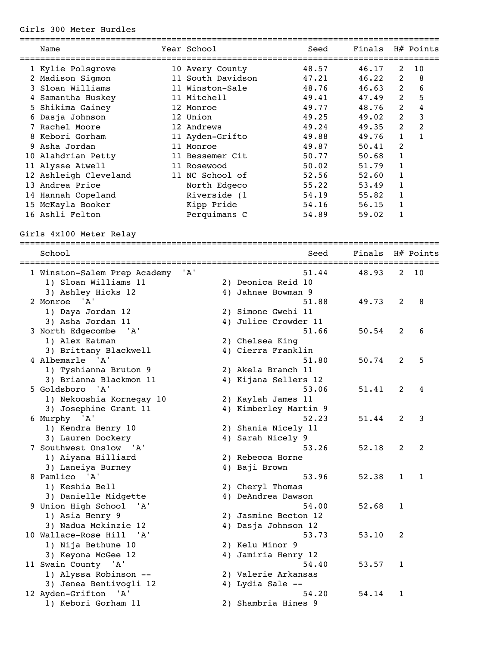## Girls 300 Meter Hurdles

|   | Name                  | Year School       | Seed  | Finals |             | H# Points |
|---|-----------------------|-------------------|-------|--------|-------------|-----------|
|   | 1 Kylie Polsgrove     | 10 Avery County   | 48.57 | 46.17  | 2           | 10        |
|   | 2 Madison Sigmon      | 11 South Davidson | 47.21 | 46.22  | 2           | 8         |
|   | 3 Sloan Williams      | 11 Winston-Sale   | 48.76 | 46.63  | 2           | 6         |
|   | Samantha Huskey       | 11 Mitchell       | 49.41 | 47.49  | 2           | 5         |
|   | 5 Shikima Gainey      | 12 Monroe         | 49.77 | 48.76  | 2           | 4         |
| 6 | Dasja Johnson         | 12 Union          | 49.25 | 49.02  | 2           | 3         |
|   | 7 Rachel Moore        | 12 Andrews        | 49.24 | 49.35  | 2           | 2         |
|   | 8 Kebori Gorham       | 11 Ayden-Grifto   | 49.88 | 49.76  | $\mathbf 1$ |           |
|   | 9 Asha Jordan         | 11 Monroe         | 49.87 | 50.41  | 2           |           |
|   | 10 Alahdrian Petty    | 11 Bessemer Cit   | 50.77 | 50.68  | 1           |           |
|   | 11 Alysse Atwell      | 11 Rosewood       | 50.02 | 51.79  | 1           |           |
|   | 12 Ashleigh Cleveland | 11 NC School of   | 52.56 | 52.60  | 1           |           |
|   | 13 Andrea Price       | North Edgeco      | 55.22 | 53.49  | 1           |           |
|   | 14 Hannah Copeland    | Riverside (1      | 54.19 | 55.82  | 1           |           |
|   | 15 McKayla Booker     | Kipp Pride        | 54.16 | 56.15  |             |           |
|   | 16 Ashli Felton       | Perquimans C      | 54.89 | 59.02  |             |           |

Girls 4x100 Meter Relay

|                                     |     | ================================= |        |                |              |
|-------------------------------------|-----|-----------------------------------|--------|----------------|--------------|
| School<br>========================= |     | Seed                              | Finals |                | H# Points    |
| 1 Winston-Salem Prep Academy        | 'A' | 51.44                             | 48.93  | 2              | 10           |
| 1) Sloan Williams 11                |     | 2) Deonica Reid 10                |        |                |              |
| 3) Ashley Hicks 12                  |     | 4) Jahnae Bowman 9                |        |                |              |
| 2 Monroe<br>' A'                    |     | 51.88                             | 49.73  | 2              | 8            |
| 1) Daya Jordan 12                   |     | 2) Simone Gwehi 11                |        |                |              |
| 3) Asha Jordan 11                   |     | 4) Julice Crowder 11              |        |                |              |
| 3 North Edgecombe<br>'A'            |     | 51.66                             | 50.54  | 2              | 6            |
| 1) Alex Eatman                      |     | 2) Chelsea King                   |        |                |              |
| 3) Brittany Blackwell               |     | 4) Cierra Franklin                |        |                |              |
| 4 Albemarle<br><b>A'</b>            |     | 51.80                             | 50.74  | 2              | 5            |
| 1) Tyshianna Bruton 9               |     | 2) Akela Branch 11                |        |                |              |
| 3) Brianna Blackmon 11              |     | 4) Kijana Sellers 12              |        |                |              |
| 5 Goldsboro<br>" A '                |     | 53.06                             | 51.41  | 2              | 4            |
| 1) Nekooshia Kornegay 10            |     | 2) Kaylah James 11                |        |                |              |
| 3) Josephine Grant 11               |     | 4) Kimberley Martin 9             |        |                |              |
| 6 Murphy 'A'                        |     | 52.23                             | 51.44  | 2              | 3            |
| 1) Kendra Henry 10                  |     | 2) Shania Nicely 11               |        |                |              |
| 3) Lauren Dockery                   |     | 4) Sarah Nicely 9                 |        |                |              |
| 7 Southwest Onslow 'A'              |     | 53.26                             | 52.18  | $\overline{2}$ | 2            |
| 1) Aiyana Hilliard                  |     | 2) Rebecca Horne                  |        |                |              |
| 3) Laneiya Burney                   |     | 4) Baji Brown                     |        |                |              |
| 8 Pamlico 'A'                       |     | 53.96                             | 52.38  | $\mathbf{1}$   | $\mathbf{1}$ |
| 1) Keshia Bell                      |     | 2) Cheryl Thomas                  |        |                |              |
| 3) Danielle Midgette                |     | 4) DeAndrea Dawson                |        |                |              |
| 9 Union High School<br>' A '        |     | 54.00                             | 52.68  | $\mathbf{1}$   |              |
| 1) Asia Henry 9                     |     | 2) Jasmine Becton 12              |        |                |              |
| 3) Nadua Mckinzie 12                |     | 4) Dasja Johnson 12               |        |                |              |
| 10 Wallace-Rose Hill<br>' A '       |     | 53.73                             | 53.10  | 2              |              |
| 1) Nija Bethune 10                  |     | 2) Kelu Minor 9                   |        |                |              |
| 3) Keyona McGee 12                  |     | 4) Jamiria Henry 12               |        |                |              |
| 11 Swain County 'A'                 |     | 54.40                             | 53.57  | $\mathbf{1}$   |              |
| 1) Alyssa Robinson --               |     | 2) Valerie Arkansas               |        |                |              |
| 3) Jenea Bentivogli 12              |     | 4) Lydia Sale --                  |        |                |              |
| 12 Ayden-Grifton<br>'A'             |     | 54.20                             | 54.14  | 1              |              |
| 1) Kebori Gorham 11                 |     | 2) Shambria Hines 9               |        |                |              |
|                                     |     |                                   |        |                |              |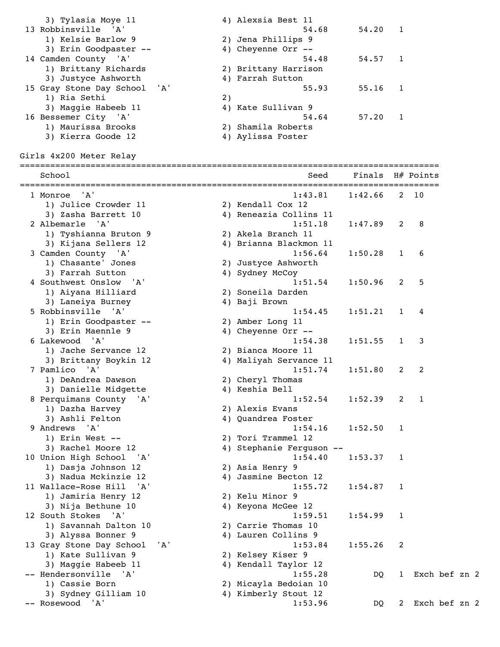3) Tylasia Moye 11  $\begin{array}{ccc} 4 & 4 & 1 \end{array}$  Alexsia Best 11 13 Robbinsville 'A' 54.68 54.20 1<br>1) Kelsie Barlow 9 2) Jena Phillips 9 1) Kelsie Barlow 9 2) Jena Phillips 9 3) Erin Goodpaster -- 4) Cheyenne Orr -- 14 Camden County 'A' 54.48 54.57 1 1) Brittany Richards 2) Brittany Harrison 1) Brittany Richards<br>
3) Justyce Ashworth 4) Farrah Sutton 15 Gray Stone Day School 'A' 55.93 55.16 1<br>1) Ria Sethi 2)<br>3) Maggie Habeeb 11 4) Kate Sullivan 9 1) Ria Sethi 2) 3) Maggie Habeeb 11 (4) Kate Sullivan 9 16 Bessemer City 'A' 54.64 57.20 1 1) Maurissa Brooks 2) Shamila Roberts 3) Kierra Goode 12 (4) Aylissa Foster Girls 4x200 Meter Relay =================================================================================== School School School Seed Finals H# Points =================================================================================== 1 Monroe 'A' 1:43.81 1:42.66 2 10 1) Julice Crowder 11 2) Kendall Cox 12 3) Zasha Barrett 10 4) Reneazia Collins 11 2 Albemarle 'A' 1:51.18 1:47.89 2 8 1) Tyshianna Bruton 9 2) Akela Branch 11 3) Kijana Sellers 12 4) Brianna Blackmon 11 3 Camden County 'A' 1:56.64 1:50.28 1 6 1) Chasante' Jones 2) Justyce Ashworth 3) Farrah Sutton 4) Sydney McCoy 4 Southwest Onslow 'A' 1:51.54 1:50.96 2 5 1) Aiyana Hilliard 2) Soneila Darden 3) Laneiya Burney 4) Baji Brown 5 Robbinsville 'A' 1:54.45 1:51.21 1 4 1) Erin Goodpaster -- 2) Amber Long 11 3) Erin Maennle 9 (4) Cheyenne Orr -- 6 Lakewood 'A' 1:54.38 1:51.55 1 3 1) Jache Servance 12 2) Bianca Moore 11 3) Brittany Boykin 12 4) Maliyah Servance 11 7 Pamlico 'A' 1:51.74 1:51.80 2 2 1) DeAndrea Dawson 2) Cheryl Thomas 3) Danielle Midgette 4) Keshia Bell 8 Perquimans County 'A' 1:52.54 1:52.39 2 1 1) Dazha Harvey 2) Alexis Evans 3) Ashli Felton 4) Quandrea Foster 9 Andrews 'A' 1:54.16 1:52.50 1<br>
1) Erin West -- 2) Tori Trammel 12 1) Erin West -- 2) Tori Trammel 12 3) Rachel Moore 12 4) Stephanie Ferguson -- 10 Union High School 'A' 1:54.40 1:53.37 1<br>1) Dasja Johnson 12 2) Asia Henry 9 1) Dasja Johnson 12 2) Asia Henry 9 3) Nadua Mckinzie 12 4) Jasmine Becton 12 11 Wallace-Rose Hill 'A' 1:55.72 1:54.87 1 1) Jamiria Henry 12 2) Kelu Minor 9 3) Nija Bethune 10 4) Keyona McGee 12 12 South Stokes 'A' 1:59.51 1:54.99 1<br>1) Savannah Dalton 10 2) Carrie Thomas 10 1) Savannah Dalton 10 2) Carrie Thomas 10 3) Alyssa Bonner 9 1988 (4) Lauren Collins 9 1, Eddical Solution of the State of Correction of the State of State of State 1:53.84 1:55.26 2<br>1) Kate Sullivan 9<br>3) Maggie Habeeb 11 4) Kendall Taylor 12 1) Kate Sullivan 9 2) Kelsey Kiser 9 3) Maggie Habeeb 11 4) Kendall Taylor 12 3) Maggie Habeeb 11 (4) Nenuall layior is the DQ 1 Exch bef zn 2<br>-- Hendersonville 'A' (1:55.28 DQ 1 Exch bef zn 2 1) Cassie Born 2) Micayla Bedoian 10 3) Sydney Gilliam 10 4) Kimberly Stout 12 -- Rosewood 'A' 1:53.96 DQ 2 Exch bef zn 2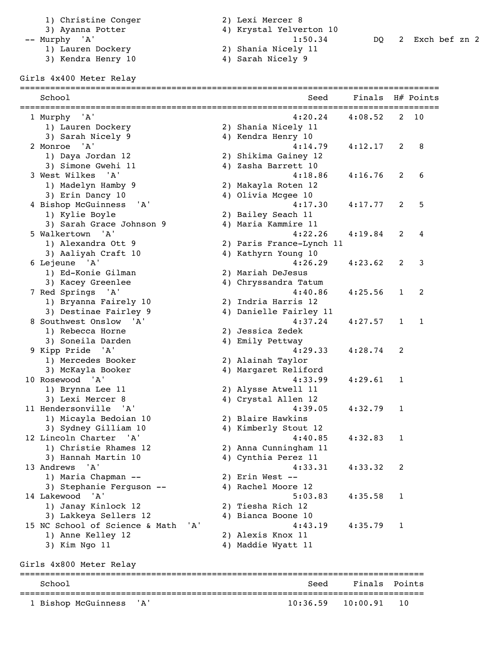- 1) Christine Conger 2) Lexi Mercer 8
	-
- 
- 1) Lauren Dockery 2) Shania Nicely 11
	-
- 
- 3) Ayanna Potter 4) Krystal Yelverton 10

-- Murphy 'A' 1:50.34 DQ 2 Exch bef zn 2

- -- Murphy 'A'<br>
1) Lauren Dockery<br>
3) Kendra Henry 10 4) Sarah Nicely 9
	-

Girls 4x400 Meter Relay

| School                                               |     | Seed                                      | Finals<br>________ | ========     | H# Points |
|------------------------------------------------------|-----|-------------------------------------------|--------------------|--------------|-----------|
| 1 Murphy<br>' A '                                    |     | 4:20.24                                   | 4:08.52            | 2            | 10        |
| 1) Lauren Dockery                                    |     | 2) Shania Nicely 11                       |                    |              |           |
| 3) Sarah Nicely 9                                    |     | 4) Kendra Henry 10                        |                    |              |           |
| 2 Monroe<br>' A'                                     |     | 4:14.79                                   | 4:12.17            | 2            | 8         |
| 1) Daya Jordan 12                                    |     | 2) Shikima Gainey 12                      |                    |              |           |
| 3) Simone Gwehi 11                                   |     | 4) Zasha Barrett 10                       |                    |              |           |
| 3 West Wilkes<br>' A'                                |     | 4:18.86                                   | 4:16.76            | 2            | 6         |
| 1) Madelyn Hamby 9                                   |     | 2) Makayla Roten 12                       |                    |              |           |
| 3) Erin Dancy 10                                     |     | 4) Olivia Mcgee 10                        |                    |              |           |
| 4 Bishop McGuinness<br>'A'                           |     | 4:17.30                                   | 4:17.77            | 2            | 5         |
| 1) Kylie Boyle                                       |     | 2) Bailey Seach 11                        |                    |              |           |
| 3) Sarah Grace Johnson 9                             |     | 4) Maria Kammire 11                       |                    |              |           |
| 5 Walkertown<br>' A'                                 |     | 4:22.26                                   | 4:19.84            | 2            | 4         |
| 1) Alexandra Ott 9                                   |     | 2) Paris France-Lynch 11                  |                    |              |           |
| 3) Aaliyah Craft 10                                  |     | 4) Kathyrn Young 10                       |                    |              |           |
| 6 Lejeune 'A'                                        |     | 4:26.29                                   | 4:23.62            | 2            | 3         |
| 1) Ed-Konie Gilman                                   |     | 2) Mariah DeJesus                         |                    |              |           |
| 3) Kacey Greenlee                                    |     | 4) Chryssandra Tatum                      |                    |              |           |
| 7 Red Springs<br>'A'                                 |     | 4:40.86                                   | 4:25.56            | $\mathbf{1}$ | 2         |
| 1) Bryanna Fairely 10                                |     | 2) Indria Harris 12                       |                    |              |           |
| 3) Destinae Fairley 9<br>8 Southwest Onslow<br>' A ' |     | 4) Danielle Fairley 11<br>4:37.24         |                    | $\mathbf{1}$ | 1         |
|                                                      |     |                                           | 4:27.57            |              |           |
| 1) Rebecca Horne                                     |     | 2) Jessica Zedek                          |                    |              |           |
| 3) Soneila Darden<br>9 Kipp Pride 'A'                |     | 4) Emily Pettway<br>4:29.33               | 4:28.74            | 2            |           |
| 1) Mercedes Booker                                   |     | 2) Alainah Taylor                         |                    |              |           |
| 3) McKayla Booker                                    |     | 4) Margaret Reliford                      |                    |              |           |
| 10 Rosewood 'A'                                      |     | 4:33.99                                   | 4:29.61            | $\mathbf{1}$ |           |
| 1) Brynna Lee 11                                     |     | 2) Alysse Atwell 11                       |                    |              |           |
| 3) Lexi Mercer 8                                     |     | 4) Crystal Allen 12                       |                    |              |           |
| 11 Hendersonville<br>'A'                             |     | 4:39.05                                   | 4:32.79            | $\mathbf{1}$ |           |
| 1) Micayla Bedoian 10                                |     | 2) Blaire Hawkins                         |                    |              |           |
| 3) Sydney Gilliam 10                                 |     | 4) Kimberly Stout 12                      |                    |              |           |
| 12 Lincoln Charter<br>' A '                          |     | 4:40.85                                   | 4:32.83            | 1            |           |
| 1) Christie Rhames 12                                |     | 2) Anna Cunningham 11                     |                    |              |           |
| 3) Hannah Martin 10                                  |     | 4) Cynthia Perez 11                       |                    |              |           |
| 13 Andrews<br>'A'                                    |     | 4:33.31                                   | 4:33.32            | 2            |           |
| 1) Maria Chapman --                                  |     | 2) Erin West --                           |                    |              |           |
| 3) Stephanie Ferguson --                             |     | 4) Rachel Moore 12                        |                    |              |           |
| 14 Lakewood 'A'                                      |     | 5:03.83                                   | 4:35.58            | $\mathbf{1}$ |           |
| 1) Janay Kinlock 12                                  |     | 2) Tiesha Rich 12                         |                    |              |           |
| 3) Lakkeya Sellers 12                                |     | 4) Bianca Boone 10                        |                    |              |           |
| 15 NC School of Science & Math                       | 'A' | 4:43.19                                   | 4:35.79            | 1            |           |
| 1) Anne Kelley 12                                    |     | 2) Alexis Knox 11                         |                    |              |           |
| 3) Kim Ngo 11                                        |     | 4) Maddie Wyatt 11                        |                    |              |           |
| Girls 4x800 Meter Relay                              |     |                                           |                    |              |           |
| School                                               |     | =================================<br>Seed | Finals Points      |              |           |
| 1 Bishop McGuinness<br>'A'                           |     | 10:36.59                                  | 10:00.91           | 10           |           |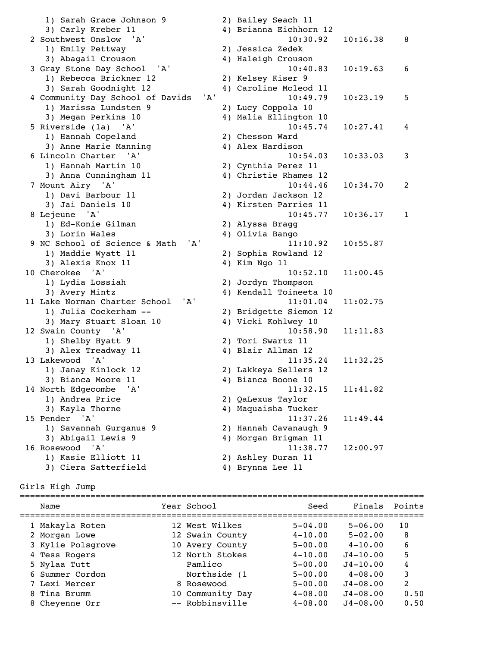1) Sarah Grace Johnson 9 2) Bailey Seach 11 3) Carly Kreber 11 4) Brianna Eichhorn 12 3) Carly Kreber 11 <br>2 Southwest Onslow 'A' 10:30.92 10:16.38 8 1) Emily Pettway 2) Jessica Zedek 3) Abagail Crouson 4) Haleigh Crouson 3 Gray Stone Day School 'A' 1) Rebecca Brickner 12 2) Kelsey Kiser 9 3) Sarah Goodnight 12 19 10 12<br>
10:49.79 10:23.19 5 4 Community Day School of Davids 'A' 1) Marissa Lundsten 9 2) Lucy Coppola 10<br>3) Megan Perkins 10 3) 11 Malis Plianter 1 3) Megan Perkins 10 4) Malia Ellington 10 5 Riverside (1a) 'A' 10:45.74 10:27.41 4 1) Hannah Copeland 2) Chesson Ward 3) Anne Marie Manning 4) Alex Hardison 6 Lincoln Charter 'A' 10:54.03 10:33.03 3 1) Hannah Martin 10 2) Cynthia Perez 11 3) Anna Cunningham 11 4) Christie Rhames 12 7 Mount Airy 'A' 10:44.46 10:34.70 2 1) Davi Barbour 11 2) Jordan Jackson 12 3) Jai Daniels 10 4) Kirsten Parries 11 8 Lejeune 'A' 10:45.77 10:36.17 1 1) Ed-Konie Gilman 2) Alyssa Bragg 3) Lorin Wales 4) Olivia Bango 9 NC School of Science & Math 'A' 11:10.92 10:55.87 1) Maddie Wyatt 11 2) Sophia Rowland 12 3) Alexis Knox 11 4) Kim Ngo 11 10 Cherokee 'A' 10:52.10 11:00.45 1) Lydia Lossiah 2) Jordyn Thompson 3) Avery Mintz (4) Kendall Toineeta 10 11 Lake Norman Charter School 'A' 11:01.04 11:02.75 1) Julia Cockerham -- 2) Bridgette Siemon 12 3) Mary Stuart Sloan 10  $\mu$  4) Vicki Kohlwey 10<br>10:58.90  $\mu$ 12 Swain County 'A' 10:58.90 11:11.83<br>1) Shelby Hyatt 9 2) Tori Swartz 11<br>3) Alex Treadway 11 4) Blair Allman 12 1) Shelby Hyatt 9 2) Tori Swartz 11 3) Alex Treadway 11 (4) Blair Allman 12 13 Lakewood 'A' 11:35.24 11:32.25 1) Janay Kinlock 12 2) Lakkeya Sellers 12 3) Bianca Moore 11 4) Bianca Boone 10 14 North Edgecombe 'A' 11:32.15 11:41.82 1) Andrea Price 2) QaLexus Taylor 3) Kayla Thorne 4) Maquaisha Tucker 15 Pender 'A' 11:37.26 11:49.44 1) Savannah Gurganus 9 2) Hannah Cavanaugh 9 3) Abigail Lewis 9 4) Morgan Brigman 11 16 Rosewood 'A' 11:38.77 12:00.97 1) Kasie Elliott 11 2) Ashley Duran 11 3) Ciera Satterfield 4) Brynna Lee 11

#### Girls High Jump

| Name              | Year School      | Seed        | Finals       | Points |
|-------------------|------------------|-------------|--------------|--------|
| 1 Makayla Roten   | 12 West Wilkes   | $5 - 04.00$ | $5 - 06.00$  | 10     |
| 2 Morgan Lowe     | 12 Swain County  | $4 - 10.00$ | $5 - 02.00$  | 8      |
| 3 Kylie Polsgrove | 10 Avery County  | $5 - 00.00$ | $4 - 10.00$  | 6      |
| 4 Tess Rogers     | 12 North Stokes  | $4 - 10.00$ | $J4 - 10.00$ | 5      |
| 5 Nylaa Tutt      | Pamlico          | $5 - 00.00$ | $J4 - 10.00$ | 4      |
| 6 Summer Cordon   | Northside (1     | $5 - 00.00$ | $4 - 08.00$  | 3      |
| 7 Lexi Mercer     | 8 Rosewood       | $5 - 00.00$ | $J4 - 08.00$ | 2      |
| 8 Tina Brumm      | 10 Community Day | $4 - 08.00$ | $J4 - 08.00$ | 0.50   |
| 8 Cheyenne Orr    | -- Robbinsville  | $4 - 08.00$ | $J4 - 08.00$ | 0.50   |
|                   |                  |             |              |        |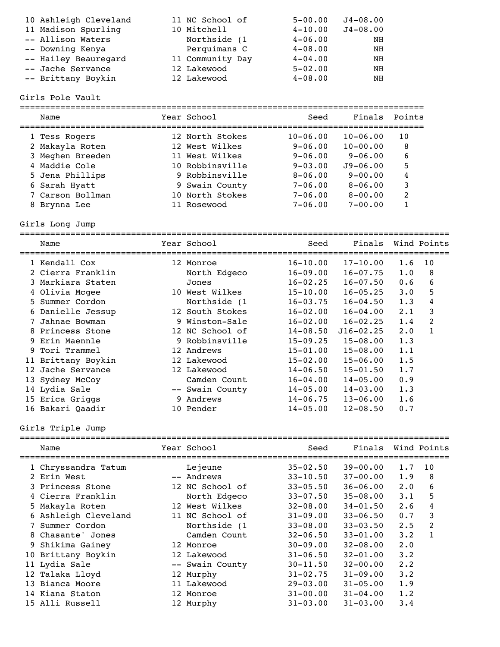| 10 Ashleigh Cleveland | 11 NC School of  | $5 - 00.00$ | $J4 - 08.00$ |
|-----------------------|------------------|-------------|--------------|
| 11 Madison Spurling   | 10 Mitchell      | $4 - 10.00$ | $J4 - 08.00$ |
| -- Allison Waters     | Northside (1     | $4 - 06.00$ | ΝH           |
| -- Downing Kenya      | Perquimans C     | $4 - 08.00$ | ΝH           |
| -- Hailey Beauregard  | 11 Community Day | $4 - 04.00$ | NH           |
| -- Jache Servance     | 12 Lakewood      | $5 - 02.00$ | NH           |
| -- Brittany Boykin    | 12 Lakewood      | $4 - 08.00$ | NΗ           |

### Girls Pole Vault

| Name             | Year School     | Seed                | Finals       | Points |
|------------------|-----------------|---------------------|--------------|--------|
| 1 Tess Rogers    | 12 North Stokes | $10 - 06.00$        | $10 - 06.00$ | 10     |
| 2 Makayla Roten  | 12 West Wilkes  | $9 - 06.00$         | $10 - 00.00$ | 8      |
| 3 Meghen Breeden | 11 West Wilkes  | $9 - 06.00$         | $9 - 06.00$  | 6      |
| 4 Maddie Cole    | 10 Robbinsville | $9 - 0.3 \cdot 0.0$ | $J9 - 06.00$ | 5      |
| 5 Jena Phillips  | 9 Robbinsville  | $8 - 06.00$         | $9 - 00.00$  | 4      |
| 6 Sarah Hyatt    | 9 Swain County  | $7 - 06.00$         | $8 - 06.00$  | 3      |
| 7 Carson Bollman | 10 North Stokes | $7 - 06.00$         | $8 - 00.00$  | 2      |
| Brynna Lee       | Rosewood        | $7 - 06.00$         | $7 - 00.00$  |        |

Girls Long Jump

|     | Name               |   | Year School     | Seed         | Finals<br>=================== |             | Wind Points   |
|-----|--------------------|---|-----------------|--------------|-------------------------------|-------------|---------------|
|     | 1 Kendall Cox      |   | 12 Monroe       | $16 - 10.00$ | $17 - 10.00$                  | 1.6         | 10            |
|     | 2 Cierra Franklin  |   | North Edgeco    | $16 - 09.00$ | $16 - 07.75$                  | 1.0         | 8             |
|     | 3 Markiara Staten  |   | Jones           | $16 - 02.25$ | $16 - 07.50$                  | 0.6         | 6             |
|     | 4 Olivia Mcgee     |   | 10 West Wilkes  | $15 - 10.00$ | $16 - 05.25$                  | $3 \cdot 0$ | 5             |
|     | 5 Summer Cordon    |   | Northside (1    | $16 - 03.75$ | $16 - 04.50$                  | 1.3         | 4             |
|     | 6 Danielle Jessup  |   | 12 South Stokes | $16 - 02.00$ | $16 - 04.00$                  | $2 \cdot 1$ | 3             |
|     | Jahnae Bowman      |   | 9 Winston-Sale  | $16 - 02.00$ | $16 - 02.25$                  | 1.4         | $\mathcal{L}$ |
|     | 8 Princess Stone   |   | 12 NC School of | $14 - 08.50$ | $J16 - 02.25$                 | $2 \cdot 0$ |               |
|     | 9 Erin Maennle     |   | 9 Robbinsville  | $15 - 09.25$ | $15 - 08.00$                  | 1.3         |               |
|     | 9 Tori Trammel     |   | 12 Andrews      | $15 - 01.00$ | $15 - 08.00$                  | 1.1         |               |
|     | 11 Brittany Boykin |   | 12 Lakewood     | $15 - 02.00$ | $15 - 06.00$                  | 1.5         |               |
| 12. | Jache Servance     |   | 12 Lakewood     | $14 - 06.50$ | $15 - 01.50$                  | 1.7         |               |
|     | 13 Sydney McCoy    |   | Camden Count    | $16 - 04.00$ | $14 - 05.00$                  | 0.9         |               |
|     | 14 Lydia Sale      |   | -- Swain County | $14 - 05.00$ | $14 - 03.00$                  | 1.3         |               |
|     | 15 Erica Griggs    | 9 | Andrews         | $14 - 06.75$ | $13 - 06.00$                  | 1.6         |               |
|     | 16 Bakari Qaadir   |   | 10 Pender       | $14 - 05.00$ | $12 - 08.50$                  | 0.7         |               |

# Girls Triple Jump

| Name                 | Year School     | Seed         | Finals       |             | Wind Points  |
|----------------------|-----------------|--------------|--------------|-------------|--------------|
| 1 Chryssandra Tatum  | Lejeune         | $35 - 02.50$ | $39 - 00.00$ | 1.7         | 10           |
| 2 Erin West          | -- Andrews      | $33 - 10.50$ | $37 - 00.00$ | 1.9         | 8            |
| 3 Princess Stone     | 12 NC School of | $33 - 05.50$ | $36 - 06.00$ | $2 \cdot 0$ | 6            |
| 4 Cierra Franklin    | North Edgeco    | $33 - 07.50$ | $35 - 08.00$ | 3.1         | 5            |
| 5 Makayla Roten      | 12 West Wilkes  | $32 - 08.00$ | $34 - 01.50$ | 2.6         | 4            |
| 6 Ashleigh Cleveland | 11 NC School of | $31 - 09.00$ | $33 - 06.50$ | 0.7         | 3            |
| 7 Summer Cordon      | Northside (1    | $33 - 08.00$ | $33 - 03.50$ | 2.5         | 2            |
| 8 Chasante' Jones    | Camden Count    | $32 - 06.50$ | $33 - 01.00$ | $3 \cdot 2$ | $\mathbf{1}$ |
| 9 Shikima Gainey     | 12 Monroe       | $30 - 09.00$ | $32 - 08.00$ | $2 \cdot 0$ |              |
| 10 Brittany Boykin   | 12 Lakewood     | $31 - 06.50$ | $32 - 01.00$ | $3 \cdot 2$ |              |
| 11 Lydia Sale        | -- Swain County | $30 - 11.50$ | $32 - 00.00$ | 2.2         |              |
| 12 Talaka Lloyd      | 12 Murphy       | $31 - 02.75$ | $31 - 09.00$ | $3 \cdot 2$ |              |
| 13 Bianca Moore      | 11 Lakewood     | $29 - 03.00$ | $31 - 05.00$ | 1.9         |              |
| 14 Kiana Staton      | 12 Monroe       | $31 - 00.00$ | $31 - 04.00$ | 1.2         |              |
| 15 Alli Russell      | 12 Murphy       | $31 - 03.00$ | $31 - 03.00$ | 3.4         |              |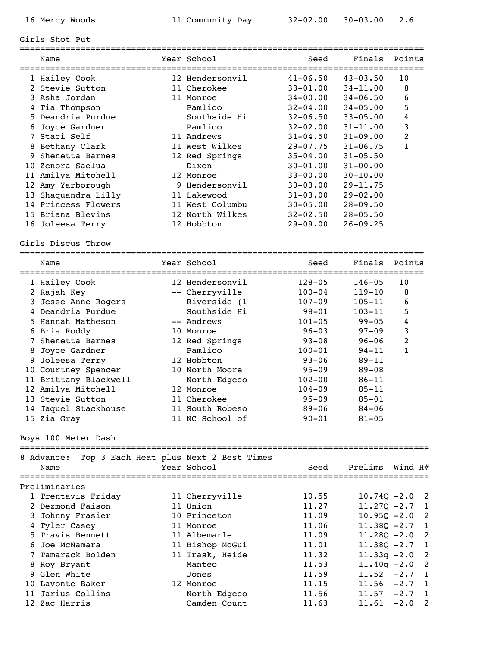================================================================================

### Girls Shot Put

|   | Name                | Year School     | Seed         | Finals       | Points          |
|---|---------------------|-----------------|--------------|--------------|-----------------|
|   | 1 Hailey Cook       | 12 Hendersonvil | $41 - 06.50$ | $43 - 03.50$ | 10 <sup>°</sup> |
|   | 2 Stevie Sutton     | 11 Cherokee     | $33 - 01.00$ | $34 - 11.00$ | 8               |
|   | 3 Asha Jordan       | 11 Monroe       | $34 - 00.00$ | $34 - 06.50$ | 6               |
|   | 4 Tia Thompson      | Pamlico         | $32 - 04.00$ | $34 - 05.00$ | 5               |
|   | 5 Deandria Purdue   | Southside Hi    | $32 - 06.50$ | $33 - 05.00$ | 4               |
|   | 6 Joyce Gardner     | Pamlico         | $32 - 02.00$ | $31 - 11.00$ | 3               |
|   | Staci Self          | 11 Andrews      | $31 - 04.50$ | $31 - 09.00$ | 2               |
|   | 8 Bethany Clark     | 11 West Wilkes  | $29 - 07.75$ | $31 - 06.75$ | 1               |
| 9 | Shenetta Barnes     | 12 Red Springs  | $35 - 04.00$ | $31 - 05.50$ |                 |
|   | 10 Zenora Saelua    | Dixon           | $30 - 01.00$ | $31 - 00.00$ |                 |
|   | 11 Amilya Mitchell  | 12 Monroe       | $33 - 00.00$ | $30 - 10.00$ |                 |
|   | 12 Amy Yarborough   | 9 Hendersonvil  | $30 - 03.00$ | $29 - 11.75$ |                 |
|   | 13 Shaquandra Lilly | 11 Lakewood     | $31 - 03.00$ | $29 - 02.00$ |                 |
|   | 14 Princess Flowers | 11 West Columbu | $30 - 05.00$ | $28 - 09.50$ |                 |
|   | 15 Briana Blevins   | 12 North Wilkes | $32 - 02.50$ | $28 - 05.50$ |                 |
|   | 16 Joleesa Terry    | 12 Hobbton      | $29 - 09.00$ | $26 - 09.25$ |                 |
|   |                     |                 |              |              |                 |

#### Girls Discus Throw

|   | Name                  | Year School     | Seed       | Finals     | Points         |
|---|-----------------------|-----------------|------------|------------|----------------|
|   | 1 Hailey Cook         | 12 Hendersonvil | $128 - 05$ | $146 - 05$ | 10             |
|   | 2 Rajah Key           | -- Cherryville  | $100 - 04$ | $119 - 10$ | 8              |
|   | 3 Jesse Anne Rogers   | Riverside (1    | $107 - 09$ | $105 - 11$ | 6              |
|   | 4 Deandria Purdue     | Southside Hi    | $98 - 01$  | $103 - 11$ | 5              |
|   | 5 Hannah Matheson     | -- Andrews      | $101 - 05$ | $99 - 05$  | 4              |
|   | 6 Bria Roddy          | 10 Monroe       | $96 - 03$  | $97 - 09$  | 3              |
|   | 7 Shenetta Barnes     | 12 Red Springs  | $93 - 08$  | $96 - 06$  | $\overline{2}$ |
|   | 8 Joyce Gardner       | Pamlico         | $100 - 01$ | $94 - 11$  | 1              |
| 9 | Joleesa Terry         | 12 Hobbton      | $93 - 06$  | $89 - 11$  |                |
|   | 10 Courtney Spencer   | 10 North Moore  | $95 - 09$  | $89 - 08$  |                |
|   | 11 Brittany Blackwell | North Edgeco    | $102 - 00$ | $86 - 11$  |                |
|   | 12 Amilya Mitchell    | 12 Monroe       | $104 - 09$ | $85 - 11$  |                |
|   | 13 Stevie Sutton      | 11 Cherokee     | $95 - 09$  | $85 - 01$  |                |
|   | 14 Jaquel Stackhouse  | 11 South Robeso | $89 - 06$  | $84 - 06$  |                |
|   | 15 Zia Gray           | 11 NC School of | $90 - 01$  | $81 - 05$  |                |

Boys 100 Meter Dash

| 8 Advance:<br>Name |  | Top 3 Each Heat plus Next 2 Best Times<br>Year School | Seed  | Prelims Wind H#                  |  |  |  |  |  |
|--------------------|--|-------------------------------------------------------|-------|----------------------------------|--|--|--|--|--|
| Preliminaries      |  |                                                       |       |                                  |  |  |  |  |  |
| 1 Trentavis Friday |  | 11 Cherryville                                        | 10.55 | $10.740 - 2.0$ 2                 |  |  |  |  |  |
| 2 Dezmond Faison   |  | 11 Union                                              | 11.27 | $11.270 - 2.7$ 1                 |  |  |  |  |  |
| 3 Johnny Frasier   |  | 10 Princeton                                          | 11.09 | $10.950 - 2.0$<br>$\mathcal{P}$  |  |  |  |  |  |
| 4 Tyler Casey      |  | 11 Monroe                                             | 11.06 | $11.380 - 2.7$<br>$\overline{1}$ |  |  |  |  |  |
| 5 Travis Bennett   |  | 11 Albemarle                                          | 11.09 | $11.280 - 2.0$ 2                 |  |  |  |  |  |
| 6 Joe McNamara     |  | 11 Bishop McGui                                       | 11.01 | $11.380 - 2.7$ 1                 |  |  |  |  |  |
| 7 Tamarack Bolden  |  | 11 Trask, Heide                                       | 11.32 | $11.33q -2.0$ 2                  |  |  |  |  |  |
| 8 Roy Bryant       |  | Manteo                                                | 11.53 | $11.40q - 2.0$<br>- 2            |  |  |  |  |  |
| 9 Glen White       |  | Jones                                                 | 11.59 | $11.52 -2.7 1$                   |  |  |  |  |  |
| 10 Lavonte Baker   |  | 12 Monroe                                             | 11.15 | $11.56 - 2.7$<br>$\overline{1}$  |  |  |  |  |  |
| 11 Jarius Collins  |  | North Edgeco                                          | 11.56 | $11.57 -2.7 1$                   |  |  |  |  |  |
| 12 Zac Harris      |  | Camden Count                                          | 11.63 | 11.61<br>$-2.0$<br>$\mathcal{P}$ |  |  |  |  |  |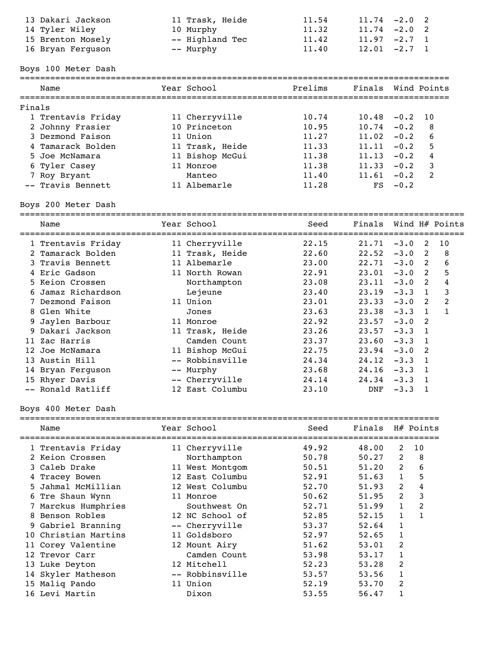| 13 Dakari Jackson | 11 Trask, Heide | 11.54 | $11.74 - 2.0$ 2 |
|-------------------|-----------------|-------|-----------------|
| 14 Tyler Wiley    | 10 Murphy       | 11.32 | $11.74 -2.0$ 2  |
| 15 Brenton Mosely | -- Highland Tec | 11.42 | $11.97 -2.7 1$  |
| 16 Bryan Ferguson | -- Murphy       | 11.40 | $12.01 - 2.7 1$ |

Boys 100 Meter Dash

|        | Name               | Year School     | Prelims | Finals Wind Points |        |                |
|--------|--------------------|-----------------|---------|--------------------|--------|----------------|
| Finals |                    |                 |         |                    |        |                |
|        | 1 Trentavis Friday | 11 Cherryville  | 10.74   | $10.48 - 0.2$      |        | - 10           |
|        | 2 Johnny Frasier   | 10 Princeton    | 10.95   | 10.74              | $-0.2$ | 8              |
|        | 3 Dezmond Faison   | 11 Union        | 11.27   | 11.02              | $-0.2$ | 6              |
|        | 4 Tamarack Bolden  | 11 Trask, Heide | 11.33   | 11.11              | $-0.2$ | 5              |
|        | 5 Joe McNamara     | 11 Bishop McGui | 11.38   | 11.13              | $-0.2$ | 4              |
|        | 6 Tyler Casey      | 11 Monroe       | 11.38   | 11.33              | $-0.2$ | 3              |
|        | 7 Roy Bryant       | Manteo          | 11.40   | 11.61              | $-0.2$ | $\overline{2}$ |
|        | -- Travis Bennett  | 11 Albemarle    | 11.28   | FS                 | $-0.2$ |                |
|        |                    |                 |         |                    |        |                |

# Boys 200 Meter Dash

|                 | Name               | Year School     | Seed  | Finals |        |                         | Wind H# Points |
|-----------------|--------------------|-----------------|-------|--------|--------|-------------------------|----------------|
|                 | 1 Trentavis Friday | 11 Cherryville  | 22.15 | 21.71  | $-3.0$ | 2                       | 10             |
|                 | 2 Tamarack Bolden  | 11 Trask, Heide | 22.60 | 22.52  | $-3.0$ | $\overline{2}$          | 8              |
|                 | 3 Travis Bennett   | 11 Albemarle    | 23.00 | 22.71  | $-3.0$ | $\overline{2}$          | 6              |
|                 | 4 Eric Gadson      | 11 North Rowan  | 22.91 | 23.01  | $-3.0$ | $\overline{\mathbf{2}}$ | 5              |
|                 | 5 Keion Crossen    | Northampton     | 23.08 | 23.11  | $-3.0$ | $\overline{2}$          | 4              |
|                 | 6 Jamaz Richardson | Lejeune         | 23.40 | 23.19  | $-3.3$ | $\mathbf{1}$            | 3              |
|                 | 7 Dezmond Faison   | 11 Union        | 23.01 | 23.33  | $-3.0$ | 2                       | 2              |
|                 | 8 Glen White       | Jones           | 23.63 | 23.38  | $-3.3$ | $\overline{1}$          |                |
|                 | 9 Jaylen Barbour   | 11 Monroe       | 22.92 | 23.57  | $-3.0$ | $\overline{2}$          |                |
|                 | 9 Dakari Jackson   | 11 Trask, Heide | 23.26 | 23.57  | $-3.3$ | $\blacksquare$          |                |
|                 | 11 Zac Harris      | Camden Count    | 23.37 | 23.60  | $-3.3$ | $\overline{1}$          |                |
| 12 <sub>1</sub> | Joe McNamara       | 11 Bishop McGui | 22.75 | 23.94  | $-3.0$ | -2                      |                |
|                 | 13 Austin Hill     | -- Robbinsville | 24.34 | 24.12  | $-3.3$ | $\overline{1}$          |                |
|                 | 14 Bryan Ferquson  | -- Murphy       | 23.68 | 24.16  | $-3.3$ | - 1                     |                |
|                 | 15 Rhyer Davis     | -- Cherryville  | 24.14 | 24.34  | $-3.3$ |                         |                |
|                 | -- Ronald Ratliff  | 12 East Columbu | 23.10 | DNF    | $-3.3$ |                         |                |

## Boys 400 Meter Dash

|   | Name                 | Year School     | Seed  | Finals H# Points |               |    |
|---|----------------------|-----------------|-------|------------------|---------------|----|
|   | 1 Trentavis Friday   | 11 Cherryville  | 49.92 | 48.00            | $\mathcal{L}$ | 10 |
|   | 2 Keion Crossen      | Northampton     | 50.78 | 50.27            | 2             | 8  |
|   | 3 Caleb Drake        | 11 West Montgom | 50.51 | 51.20            | 2             | 6  |
|   | 4 Tracey Bowen       | 12 East Columbu | 52.91 | 51.63            | 1             | 5  |
|   | 5 Jahmal McMillian   | 12 West Columbu | 52.70 | 51.93            | 2             | 4  |
| 6 | Tre Shaun Wynn       | 11 Monroe       | 50.62 | 51.95            | 2             | 3  |
|   | 7 Marckus Humphries  | Southwest On    | 52.71 | 51.99            | 1             | 2  |
|   | 8 Benson Robles      | 12 NC School of | 52.85 | 52.15            | 1             |    |
|   | 9 Gabriel Branning   | -- Cherryville  | 53.37 | 52.64            | 1             |    |
|   | 10 Christian Martins | 11 Goldsboro    | 52.97 | 52.65            |               |    |
|   | 11 Corey Valentine   | 12 Mount Airy   | 51.62 | 53.01            | 2             |    |
|   | Trevor Carr          | Camden Count    | 53.98 | 53.17            |               |    |
|   | 13 Luke Deyton       | 12 Mitchell     | 52.23 | 53.28            | 2             |    |
|   | 14 Skyler Matheson   | -- Robbinsville | 53.57 | 53.56            | 1             |    |
|   | 15 Maliq Pando       | 11 Union        | 52.19 | 53.70            | 2             |    |
|   | 16 Levi Martin       | Dixon           | 53.55 | 56.47            |               |    |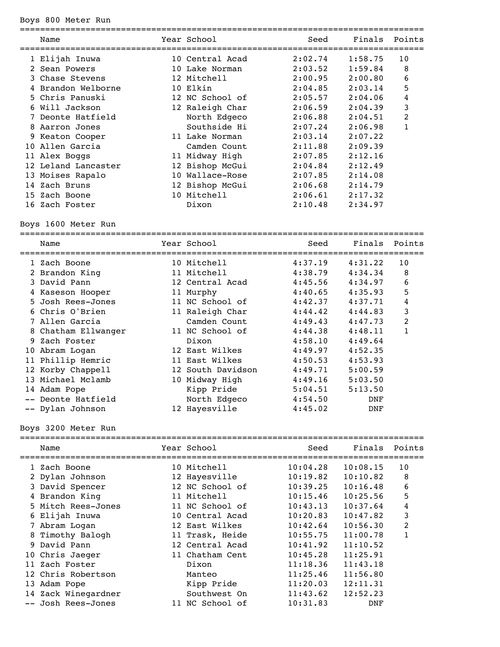## Boys 800 Meter Run

|    | Name                | Year School     | Seed    | Finals  | Points |
|----|---------------------|-----------------|---------|---------|--------|
|    | 1 Elijah Inuwa      | 10 Central Acad | 2:02.74 | 1:58.75 | 10     |
|    | 2 Sean Powers       | 10 Lake Norman  | 2:03.52 | 1:59.84 | 8      |
|    | 3 Chase Stevens     | 12 Mitchell     | 2:00.95 | 2:00.80 | 6      |
|    | Brandon Welborne    | 10 Elkin        | 2:04.85 | 2:03.14 | 5      |
|    | 5 Chris Panuski     | 12 NC School of | 2:05.57 | 2:04.06 | 4      |
|    | 6 Will Jackson      | 12 Raleigh Char | 2:06.59 | 2:04.39 | 3      |
|    | Deonte Hatfield     | North Edgeco    | 2:06.88 | 2:04.51 | 2      |
| 8. | Aarron Jones        | Southside Hi    | 2:07.24 | 2:06.98 | 1      |
|    | 9 Keaton Cooper     | 11 Lake Norman  | 2:03.14 | 2:07.22 |        |
|    | 10 Allen Garcia     | Camden Count    | 2:11.88 | 2:09.39 |        |
|    | 11 Alex Boggs       | 11 Midway High  | 2:07.85 | 2:12.16 |        |
|    | 12 Leland Lancaster | 12 Bishop McGui | 2:04.84 | 2:12.49 |        |
|    | 13 Moises Rapalo    | 10 Wallace-Rose | 2:07.85 | 2:14.08 |        |
|    | 14 Zach Bruns       | 12 Bishop McGui | 2:06.68 | 2:14.79 |        |
|    | 15 Zach Boone       | 10 Mitchell     | 2:06.61 | 2:17.32 |        |
|    | 16 Zach Foster      | Dixon           | 2:10.48 | 2:34.97 |        |
|    |                     |                 |         |         |        |

Boys 1600 Meter Run

|    | Name                | Year School       | Seed    | Finals     | Points         |
|----|---------------------|-------------------|---------|------------|----------------|
|    | 1 Zach Boone        | 10 Mitchell       | 4:37.19 | 4:31.22    | 10             |
|    | 2 Brandon King      | 11 Mitchell       | 4:38.79 | 4:34.34    | 8              |
|    | 3 David Pann        | 12 Central Acad   | 4:45.56 | 4:34.97    | 6              |
|    | 4 Kaseson Hooper    | 11 Murphy         | 4:40.65 | 4:35.93    | 5              |
|    | 5 Josh Rees-Jones   | 11 NC School of   | 4:42.37 | 4:37.71    | 4              |
|    | 6 Chris O'Brien     | 11 Raleigh Char   | 4:44.42 | 4:44.83    | 3              |
|    | 7 Allen Garcia      | Camden Count      | 4:49.43 | 4:47.73    | $\overline{2}$ |
|    | 8 Chatham Ellwanger | 11 NC School of   | 4:44.38 | 4:48.11    | $\mathbf{1}$   |
| 9. | Zach Foster         | Dixon             | 4:58.10 | 4:49.64    |                |
| 10 | Abram Logan         | 12 East Wilkes    | 4:49.97 | 4:52.35    |                |
| 11 | Phillip Hemric      | 11 East Wilkes    | 4:50.53 | 4:53.93    |                |
|    | 12 Korby Chappell   | 12 South Davidson | 4:49.71 | 5:00.59    |                |
|    | 13 Michael Mclamb   | 10 Midway High    | 4:49.16 | 5:03.50    |                |
|    | 14 Adam Pope        | Kipp Pride        | 5:04.51 | 5:13.50    |                |
|    | Deonte Hatfield     | North Edgeco      | 4:54.50 | <b>DNF</b> |                |
|    | -- Dylan Johnson    | 12 Hayesville     | 4:45.02 | DNF        |                |
|    |                     |                   |         |            |                |

Boys 3200 Meter Run

| Name |                                                                                                                                                                                                                                                                                           |              | Seed                                                                                                                                                                                                              | Finals   | Points |
|------|-------------------------------------------------------------------------------------------------------------------------------------------------------------------------------------------------------------------------------------------------------------------------------------------|--------------|-------------------------------------------------------------------------------------------------------------------------------------------------------------------------------------------------------------------|----------|--------|
|      |                                                                                                                                                                                                                                                                                           |              | 10:04.28                                                                                                                                                                                                          | 10:08.15 | 10     |
|      |                                                                                                                                                                                                                                                                                           |              | 10:19.82                                                                                                                                                                                                          | 10:10.82 | 8      |
|      |                                                                                                                                                                                                                                                                                           |              | 10:39.25                                                                                                                                                                                                          | 10:16.48 | 6      |
|      |                                                                                                                                                                                                                                                                                           |              | 10:15.46                                                                                                                                                                                                          | 10:25.56 | 5      |
|      |                                                                                                                                                                                                                                                                                           |              | 10:43.13                                                                                                                                                                                                          | 10:37.64 | 4      |
|      |                                                                                                                                                                                                                                                                                           |              | 10:20.83                                                                                                                                                                                                          | 10:47.82 | 3      |
|      |                                                                                                                                                                                                                                                                                           |              | 10:42.64                                                                                                                                                                                                          | 10:56.30 | 2      |
|      |                                                                                                                                                                                                                                                                                           |              | 10:55.75                                                                                                                                                                                                          | 11:00.78 |        |
|      |                                                                                                                                                                                                                                                                                           |              | 10:41.92                                                                                                                                                                                                          | 11:10.52 |        |
|      |                                                                                                                                                                                                                                                                                           |              | 10:45.28                                                                                                                                                                                                          | 11:25.91 |        |
|      |                                                                                                                                                                                                                                                                                           | Dixon        | 11:18.36                                                                                                                                                                                                          | 11:43.18 |        |
|      |                                                                                                                                                                                                                                                                                           | Manteo       | 11:25.46                                                                                                                                                                                                          | 11:56.80 |        |
|      |                                                                                                                                                                                                                                                                                           | Kipp Pride   | 11:20.03                                                                                                                                                                                                          | 12:11.31 |        |
|      |                                                                                                                                                                                                                                                                                           | Southwest On | 11:43.62                                                                                                                                                                                                          | 12:52.23 |        |
|      |                                                                                                                                                                                                                                                                                           |              | 10:31.83                                                                                                                                                                                                          | DNF      |        |
|      | 1 Zach Boone<br>2 Dylan Johnson<br>3 David Spencer<br>4 Brandon King<br>5 Mitch Rees-Jones<br>6 Elijah Inuwa<br>7 Abram Logan<br>8 Timothy Balogh<br>9 David Pann<br>10 Chris Jaeger<br>11 Zach Foster<br>12 Chris Robertson<br>13 Adam Pope<br>14 Zack Winegardner<br>-- Josh Rees-Jones |              | Year School<br>10 Mitchell<br>12 Hayesville<br>12 NC School of<br>11 Mitchell<br>11 NC School of<br>10 Central Acad<br>12 East Wilkes<br>11 Trask, Heide<br>12 Central Acad<br>11 Chatham Cent<br>11 NC School of |          |        |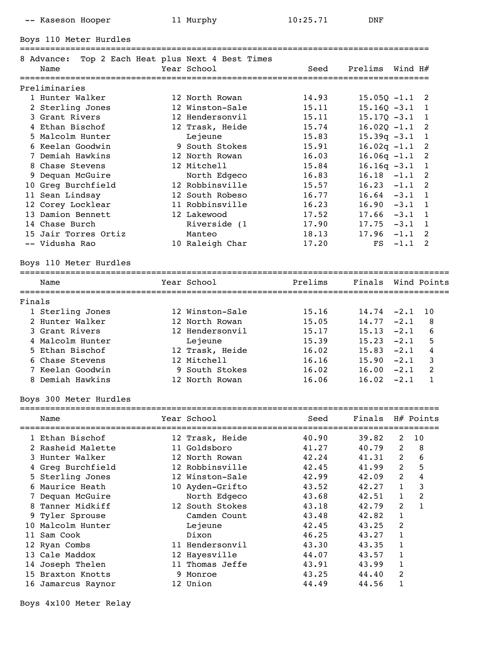-- Kaseson Hooper 11 Murphy 10:25.71 DNF

Boys 110 Meter Hurdles

|        | 8 Advance:             |  | Top 2 Each Heat plus Next 4 Best Times |         |                    |          |                            |  |  |  |
|--------|------------------------|--|----------------------------------------|---------|--------------------|----------|----------------------------|--|--|--|
|        | Name                   |  | Year School                            | Seed    | Prelims            | Wind H#  |                            |  |  |  |
|        |                        |  |                                        |         |                    |          |                            |  |  |  |
|        | Preliminaries          |  |                                        |         |                    |          |                            |  |  |  |
|        | 1 Hunter Walker        |  | 12 North Rowan                         | 14.93   | $15.05Q - 1.1$     |          | 2                          |  |  |  |
|        | 2 Sterling Jones       |  | 12 Winston-Sale                        | 15.11   | $15.16Q - 3.1$     |          | 1                          |  |  |  |
|        | 3 Grant Rivers         |  | 12 Hendersonvil                        | 15.11   | $15.17Q - 3.1$     |          | $\mathbf{1}$               |  |  |  |
|        | 4 Ethan Bischof        |  | 12 Trask, Heide                        | 15.74   | $16.02Q - 1.1$     |          | 2                          |  |  |  |
|        | 5 Malcolm Hunter       |  | Lejeune                                | 15.83   | $15.39q -3.1$      |          | $\mathbf{1}$               |  |  |  |
|        | 6 Keelan Goodwin       |  | 9 South Stokes                         | 15.91   | $16.02q -1.1$      |          | $\overline{c}$             |  |  |  |
|        | 7 Demiah Hawkins       |  | 12 North Rowan                         | 16.03   | $16.06q -1.1$      |          | 2                          |  |  |  |
|        | 8 Chase Stevens        |  | 12 Mitchell                            | 15.84   | $16.16q -3.1$      |          | $\mathbf{1}$               |  |  |  |
|        | 9 Dequan McGuire       |  | North Edgeco                           | 16.83   | $16.18 - 1.1$      |          | $\overline{2}$             |  |  |  |
|        | 10 Greg Burchfield     |  | 12 Robbinsville                        | 15.57   | $16.23 -1.1$       |          | 2                          |  |  |  |
|        | 11 Sean Lindsay        |  | 12 South Robeso                        | 16.77   | $16.64 - 3.1$      |          | $\overline{1}$             |  |  |  |
|        | 12 Corey Locklear      |  | 11 Robbinsville                        | 16.23   | $16.90 - 3.1$      |          | $\overline{1}$             |  |  |  |
|        | 13 Damion Bennett      |  | 12 Lakewood                            | 17.52   | $17.66 - 3.1$      |          | $\overline{1}$             |  |  |  |
|        | 14 Chase Burch         |  | Riverside (1                           | 17.90   | $17.75 - 3.1$      |          | $\overline{1}$             |  |  |  |
|        | 15 Jair Torres Ortiz   |  | Manteo                                 | 18.13   | 17.96              | $-1.1$   | $\overline{\phantom{0}}^2$ |  |  |  |
|        | -- Vidusha Rao         |  | 10 Raleigh Char                        | 17.20   | FS                 | $-1.1$ 2 |                            |  |  |  |
|        |                        |  |                                        |         |                    |          |                            |  |  |  |
|        | Boys 110 Meter Hurdles |  |                                        |         |                    |          |                            |  |  |  |
|        |                        |  |                                        |         |                    |          |                            |  |  |  |
|        | Name                   |  | Year School                            | Prelims | Finals Wind Points |          |                            |  |  |  |
| Finals |                        |  |                                        |         |                    |          |                            |  |  |  |
|        | 1 Sterling Jones       |  | 12 Winston-Sale                        | 15.16   | $14.74 - 2.1$      |          | 10                         |  |  |  |
|        | 2 Hunter Walker        |  | 12 North Rowan                         | 15.05   | $14.77 - 2.1$      |          | 8                          |  |  |  |
|        | 3 Grant Rivers         |  | 12 Hendersonvil                        | 15.17   | $15.13 -2.1$       |          | 6                          |  |  |  |
|        | 4 Malcolm Hunter       |  | Lejeune                                | 15.39   | $15.23 -2.1$       |          | 5                          |  |  |  |
|        | 5 Ethan Bischof        |  | 12 Trask, Heide                        | 16.02   | $15.83 - 2.1$      |          | 4                          |  |  |  |
|        | 6 Chase Stevens        |  | 12 Mitchell                            | 16.16   | $15.90 -2.1$       |          | 3                          |  |  |  |
|        | 7 Keelan Goodwin       |  | 9 South Stokes                         | 16.02   | 16.00              | $-2.1$   | $\overline{2}$             |  |  |  |
|        | 8 Demiah Hawkins       |  | 12 North Rowan                         | 16.06   | 16.02              | $-2.1$   | $\mathbf{1}$               |  |  |  |
|        |                        |  |                                        |         |                    |          |                            |  |  |  |
|        | Boys 300 Meter Hurdles |  |                                        |         |                    |          |                            |  |  |  |
|        |                        |  |                                        |         |                    |          |                            |  |  |  |
|        |                        |  |                                        |         |                    |          |                            |  |  |  |

|     | Name              |   | Year School     | Seed  | Finals |                | H# Points |
|-----|-------------------|---|-----------------|-------|--------|----------------|-----------|
|     | 1 Ethan Bischof   |   | 12 Trask, Heide | 40.90 | 39.82  | 2              | 10        |
|     | 2 Rasheid Malette |   | 11 Goldsboro    | 41.27 | 40.79  | 2              | 8         |
|     | 3 Hunter Walker   |   | 12 North Rowan  | 42.24 | 41.31  | $\overline{2}$ | 6         |
|     | Greg Burchfield   |   | 12 Robbinsville | 42.45 | 41.99  | $\overline{2}$ | 5         |
|     | 5 Sterling Jones  |   | 12 Winston-Sale | 42.99 | 42.09  | $\overline{2}$ | 4         |
|     | 6 Maurice Heath   |   | 10 Ayden-Grifto | 43.52 | 42.27  | 1              | 3         |
|     | 7 Dequan McGuire  |   | North Edgeco    | 43.68 | 42.51  | 1              | 2         |
| 8   | Tanner Midkiff    |   | 12 South Stokes | 43.18 | 42.79  | 2              | 1         |
|     | 9 Tyler Sprouse   |   | Camden Count    | 43.48 | 42.82  | 1              |           |
| 10  | Malcolm Hunter    |   | Lejeune         | 42.45 | 43.25  | 2              |           |
| 11  | Sam Cook          |   | Dixon           | 46.25 | 43.27  | 1              |           |
|     | 12 Ryan Combs     |   | 11 Hendersonvil | 43.30 | 43.35  |                |           |
| 1.3 | Cale Maddox       |   | 12 Hayesville   | 44.07 | 43.57  |                |           |
| 14  | Joseph Thelen     |   | 11 Thomas Jeffe | 43.91 | 43.99  |                |           |
| 15. | Braxton Knotts    | 9 | Monroe          | 43.25 | 44.40  | 2              |           |
| 16  | Jamarcus Raynor   |   | 12 Union        | 44.49 | 44.56  | 1              |           |
|     |                   |   |                 |       |        |                |           |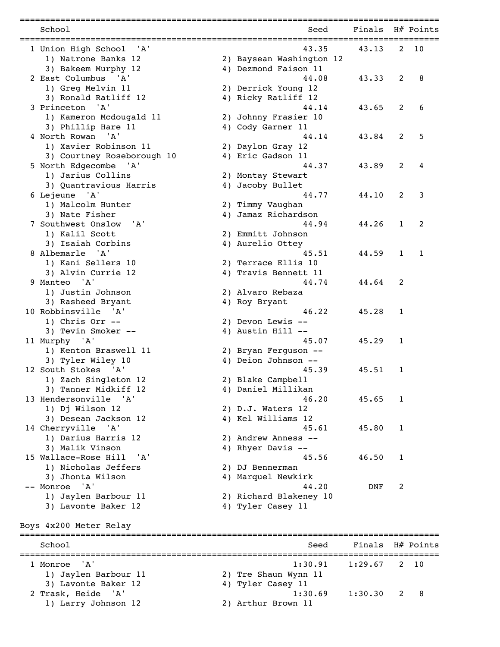| School                                      | Seed                                      | Finals H# Points |              |           |
|---------------------------------------------|-------------------------------------------|------------------|--------------|-----------|
| 1 Union High School<br>'A'                  | 43.35                                     | 43.13            | 2            | 10        |
| 1) Natrone Banks 12                         | 2) Baysean Washington 12                  |                  |              |           |
| 3) Bakeem Murphy 12                         | 4) Dezmond Faison 11                      |                  |              |           |
| 2 East Columbus 'A'                         | 44.08                                     | 43.33            | 2            | 8         |
| 1) Greg Melvin 11                           | 2) Derrick Young 12                       |                  |              |           |
| 3) Ronald Ratliff 12                        | 4) Ricky Ratliff 12                       |                  |              |           |
| 3 Princeton<br>'A'                          | 44.14                                     | 43.65            | 2            | 6         |
| 1) Kameron Mcdougald 11                     | 2) Johnny Frasier 10                      |                  |              |           |
| 3) Phillip Hare 11                          | 4) Cody Garner 11                         |                  |              |           |
| 4 North Rowan<br>'A'                        | 44.14                                     | 43.84            | 2            | 5         |
| 1) Xavier Robinson 11                       | 2) Daylon Gray 12                         |                  |              |           |
| 3) Courtney Roseborough 10                  | 4) Eric Gadson 11                         |                  |              |           |
| 5 North Edgecombe 'A'                       | 44.37                                     | 43.89            | 2            | 4         |
| 1) Jarius Collins                           | 2) Montay Stewart                         |                  |              |           |
| 3) Quantravious Harris                      | 4) Jacoby Bullet                          |                  |              |           |
| 6 Lejeune 'A'                               | 44.77                                     | 44.10            | 2            | 3         |
| 1) Malcolm Hunter                           | 2) Timmy Vaughan                          |                  |              |           |
| 3) Nate Fisher                              | 4) Jamaz Richardson                       |                  |              |           |
| 7 Southwest Onslow 'A'                      | 44.94                                     | 44.26            | $\mathbf{1}$ | 2         |
| 1) Kalil Scott                              | 2) Emmitt Johnson                         |                  |              |           |
| 3) Isaiah Corbins                           | 4) Aurelio Ottey                          |                  |              |           |
| 8 Albemarle<br>$^{\prime}$ A $^{\prime}$    | 45.51                                     | 44.59            | $\mathbf{1}$ | 1         |
| 1) Kani Sellers 10                          | 2) Terrace Ellis 10                       |                  |              |           |
| 3) Alvin Currie 12                          | 4) Travis Bennett 11                      |                  |              |           |
| 9 Manteo 'A'<br>1) Justin Johnson           | 44.74                                     | 44.64            | 2            |           |
| 3) Rasheed Bryant                           | 2) Alvaro Rebaza<br>4) Roy Bryant         |                  |              |           |
| 10 Robbinsville 'A'                         | 46.22                                     | 45.28            | $\mathbf{1}$ |           |
| 1) Chris Orr $--$                           | 2) Devon Lewis --                         |                  |              |           |
| 3) Tevin Smoker --                          | 4) Austin Hill --                         |                  |              |           |
| 11 Murphy 'A'                               | 45.07                                     | 45.29            | $\mathbf{1}$ |           |
| 1) Kenton Braswell 11                       | 2) Bryan Ferguson --                      |                  |              |           |
| 3) Tyler Wiley 10                           | 4) Deion Johnson --                       |                  |              |           |
| 12 South Stokes 'A'                         | 45.39                                     | 45.51            | 1            |           |
| 1) Zach Singleton 12                        | 2) Blake Campbell                         |                  |              |           |
| 3) Tanner Midkiff 12                        | 4) Daniel Millikan                        |                  |              |           |
| 13 Hendersonville 'A'                       | 46.20                                     | 45.65            | 1            |           |
| 1) Dj Wilson 12                             | 2) D.J. Waters 12                         |                  |              |           |
| 3) Desean Jackson 12                        | 4) Kel Williams 12                        |                  |              |           |
| 14 Cherryville 'A'                          | 45.61                                     | 45.80            | $\mathbf{1}$ |           |
| 1) Darius Harris 12                         | 2) Andrew Anness --                       |                  |              |           |
| 3) Malik Vinson                             | 4) Rhyer Davis --                         |                  |              |           |
| 15 Wallace-Rose Hill<br>'A'                 | 45.56                                     | 46.50            | $\mathbf{1}$ |           |
| 1) Nicholas Jeffers                         | 2) DJ Bennerman                           |                  |              |           |
| 3) Jhonta Wilson                            | 4) Marquel Newkirk                        |                  |              |           |
| -- Monroe 'A'                               | 44.20                                     | DNF              | 2            |           |
| 1) Jaylen Barbour 11                        | 2) Richard Blakeney 10                    |                  |              |           |
| 3) Lavonte Baker 12                         | 4) Tyler Casey 11                         |                  |              |           |
|                                             |                                           |                  |              |           |
| Boys 4x200 Meter Relay                      |                                           |                  |              |           |
| School                                      | Seed                                      | Finals           |              | H# Points |
| ' A '                                       | 1:30.91                                   |                  |              |           |
| 1 Monroe                                    |                                           | 1:29.67          | 2            | 10        |
| 1) Jaylen Barbour 11<br>3) Lavonte Baker 12 | 2) Tre Shaun Wynn 11<br>4) Tyler Casey 11 |                  |              |           |
| 2 Trask, Heide 'A'                          | 1:30.69                                   | 1:30.30          | 2            | 8         |
| 1) Larry Johnson 12                         |                                           |                  |              |           |
|                                             | 2) Arthur Brown 11                        |                  |              |           |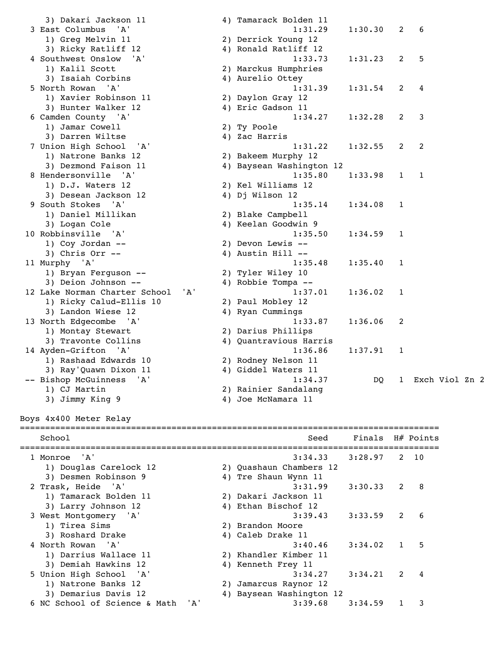3) Dakari Jackson 11 (4) 3 East Columbus 'A' 1) Greg Melvin 11 2) 3) Ricky Ratliff 12 (4) 4 Southwest Onslow 'A' 1) Kalil Scott 2 1) Kalil Scott (2)<br>3) Isaiah Corbins (2) 3) Isaiah Corbins 5 North Rowan 'A' 1) Xavier Robinson 11 2) 3) Hunter Walker 12 (4) 6 Camden County 'A' 1) Jamar Cowell 2) Ty Poole 3) Darren Wiltse  $\begin{array}{ccc} 4 & 2 \end{array}$  ac Harris 7 Union High School 'A' 1) Natrone Banks 12 2) 3) Dezmond Faison 11 4) 8 Hendersonville 'A'<br>1) D.J. Waters 12 1:33.99 1:33.98 1) D.J. Waters 12 3) Desean Jackson 12 (4) 9 South Stokes 'A'<br>1) Daniel Millikan (2) 1) Daniel Millikan 3) Logan Cole 4) 10 Robbinsville 'A'<br>1) Coy Jordan -- 2) 1) Coy Jordan -- 2) Devon Lewis -- 3) Chris Orr -- 4) Austin Hill --11 Murphy 'A' 1) Bryan Ferguson -- 2) Tyler Wiley 10 3) Deion Johnson -- 4) Robbie Tompa -- 12 Lake Norman Charter School 'A'<br>1) Ricky Calud-Ellis 10 2 1) Ricky Calud-Ellis 10 3) Landon Wiese 12 (4) 13 North Edgecombe 'A' 1) Montay Stewart 2) 3) Travonte Collins (4) 14 Ayden-Grifton 'A' 1) Rashaad Edwards 10 2) 3) Ray'Quawn Dixon 11 4) 1) CJ Martin 2) 3) Jimmy King 9 4) Boys 4x400 Meter Relay ===================================================================================

| 3) Dakari Jackson 11          |     | 4) Tamarack Bolden 11    |         |              |                |  |
|-------------------------------|-----|--------------------------|---------|--------------|----------------|--|
| 3 East Columbus<br>'A'        |     | 1:31.29                  | 1:30.30 | 2            | 6              |  |
| 1) Greg Melvin 11             |     | 2) Derrick Young 12      |         |              |                |  |
| 3) Ricky Ratliff 12           |     | 4) Ronald Ratliff 12     |         |              |                |  |
| 4 Southwest Onslow<br>'A'     |     | 1:33.73                  | 1:31.23 | 2            | 5              |  |
| 1) Kalil Scott                |     | 2) Marckus Humphries     |         |              |                |  |
| 3) Isaiah Corbins             |     | 4) Aurelio Ottey         |         |              |                |  |
| 5 North Rowan 'A'             |     | 1:31.39                  | 1:31.54 | 2            | 4              |  |
| 1) Xavier Robinson 11         |     | 2) Daylon Gray 12        |         |              |                |  |
| 3) Hunter Walker 12           |     | 4) Eric Gadson 11        |         |              |                |  |
| 6 Camden County 'A'           |     | 1:34.27                  | 1:32.28 | 2            | 3              |  |
| 1) Jamar Cowell               |     | 2) Ty Poole              |         |              |                |  |
| 3) Darren Wiltse              |     | 4) Zac Harris            |         |              |                |  |
| 7 Union High School<br>'A'    |     | 1:31.22                  | 1:32.55 | 2            | 2              |  |
| 1) Natrone Banks 12           |     | 2) Bakeem Murphy 12      |         |              |                |  |
| 3) Dezmond Faison 11          |     | 4) Baysean Washington 12 |         |              |                |  |
| 8 Hendersonville 'A'          |     | 1:35.80                  | 1:33.98 | $\mathbf{1}$ | 1              |  |
| 1) D.J. Waters 12             |     | 2) Kel Williams 12       |         |              |                |  |
| 3) Desean Jackson 12          |     | 4) Dj Wilson 12          |         |              |                |  |
| 9 South Stokes<br>'A'         |     | 1:35.14                  | 1:34.08 | $\mathbf{1}$ |                |  |
| 1) Daniel Millikan            |     | 2) Blake Campbell        |         |              |                |  |
| 3) Logan Cole                 |     | 4) Keelan Goodwin 9      |         |              |                |  |
| 10 Robbinsville 'A'           |     | 1:35.50                  | 1:34.59 | 1            |                |  |
| 1) Coy Jordan --              |     | 2) Devon Lewis --        |         |              |                |  |
| 3) Chris Orr $--$             |     | 4) Austin Hill --        |         |              |                |  |
| 11 Murphy 'A'                 |     | 1:35.48                  | 1:35.40 | 1            |                |  |
| 1) Bryan Ferguson --          |     | 2) Tyler Wiley 10        |         |              |                |  |
| 3) Deion Johnson --           |     | 4) Robbie Tompa --       |         |              |                |  |
| 12 Lake Norman Charter School | 'A' | 1:37.01                  | 1:36.02 | 1            |                |  |
| 1) Ricky Calud-Ellis 10       |     | 2) Paul Mobley 12        |         |              |                |  |
| 3) Landon Wiese 12            |     | 4) Ryan Cummings         |         |              |                |  |
| 13 North Edgecombe<br>' A '   |     | 1:33.87                  | 1:36.06 | 2            |                |  |
| 1) Montay Stewart             |     | 2) Darius Phillips       |         |              |                |  |
| 3) Travonte Collins           |     | 4) Quantravious Harris   |         |              |                |  |
| 14 Ayden-Grifton 'A'          |     | 1:36.86                  | 1:37.91 | $\mathbf{1}$ |                |  |
| 1) Rashaad Edwards 10         |     | 2) Rodney Nelson 11      |         |              |                |  |
| 3) Ray'Quawn Dixon 11         |     | 4) Giddel Waters 11      |         |              |                |  |
| -- Bishop McGuinness<br>' A ' |     | 1:34.37                  | DO.     | $\mathbf{1}$ | Exch Viol Zn 2 |  |
| 1) CJ Martin                  |     | 2) Rainier Sandalang     |         |              |                |  |
| 3) Jimmy King 9               |     | 4) Joe McNamara 11       |         |              |                |  |
|                               |     |                          |         |              |                |  |
| oys 4x400 Meter Relay         |     |                          |         |              |                |  |
|                               |     |                          |         |              |                |  |

| School                               | Seed                     | Finals  |               | H# Points |
|--------------------------------------|--------------------------|---------|---------------|-----------|
| ' A '<br>1 Monroe                    | 3:34.33                  | 3:28.97 | 2             | 10        |
| 1) Douglas Carelock 12               | 2) Quashaun Chambers 12  |         |               |           |
| 3) Desmen Robinson 9                 | 4) Tre Shaun Wynn 11     |         |               |           |
| 2 Trask, Heide 'A'                   | 3:31.99                  | 3:30.33 | $\mathcal{L}$ | 8         |
| 1) Tamarack Bolden 11                | 2) Dakari Jackson 11     |         |               |           |
| 3) Larry Johnson 12                  | 4) Ethan Bischof 12      |         |               |           |
| 3 West Montgomery 'A'                | 3:39.43                  | 3:33.59 | $\mathcal{L}$ | 6         |
| 1) Tirea Sims                        | 2) Brandon Moore         |         |               |           |
| 3) Roshard Drake                     | 4) Caleb Drake 11        |         |               |           |
| 4 North Rowan 'A'                    | 3:40.46                  | 3:34.02 | 1.            | 5         |
| 1) Darrius Wallace 11                | 2) Khandler Kimber 11    |         |               |           |
| 3) Demiah Hawkins 12                 | 4) Kenneth Frey 11       |         |               |           |
| 5 Union High School<br>'A'           | 3:34.27                  | 3:34.21 | $\mathcal{P}$ | 4         |
| 1) Natrone Banks 12                  | 2) Jamarcus Raynor 12    |         |               |           |
| 3) Demarius Davis 12                 | 4) Baysean Washington 12 |         |               |           |
| 6 NC School of Science & Math<br>'A' | 3:39.68                  | 3:34.59 |               |           |
|                                      |                          |         |               |           |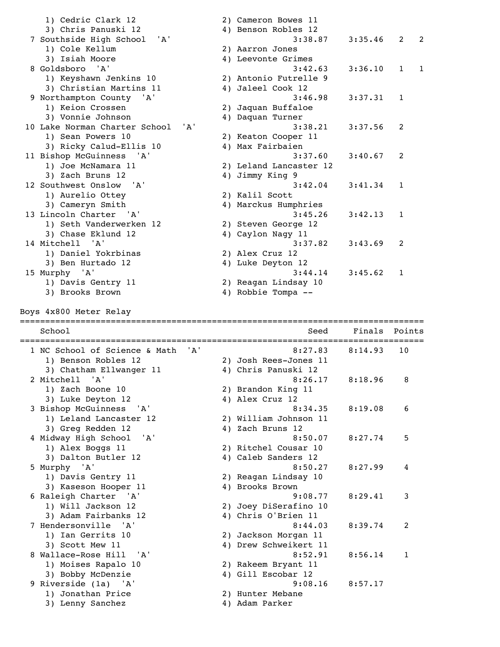| 1) Cedric Clark 12                               |     | 2) Cameron Bowes 11                |         |                   |
|--------------------------------------------------|-----|------------------------------------|---------|-------------------|
| 3) Chris Panuski 12                              |     | 4) Benson Robles 12                |         |                   |
| 7 Southside High School 'A'                      |     | 3:38.87                            | 3:35.46 | 2<br>2            |
| 1) Cole Kellum                                   |     | 2) Aarron Jones                    |         |                   |
| 3) Isiah Moore                                   |     | 4) Leevonte Grimes                 |         |                   |
| 8 Goldsboro<br>'A'                               |     | 3:42.63                            | 3:36.10 | $\mathbf{1}$<br>1 |
| 1) Keyshawn Jenkins 10                           |     | 2) Antonio Futrelle 9              |         |                   |
| 3) Christian Martins 11                          |     | 4) Jaleel Cook 12                  |         |                   |
| 9 Northampton County 'A'                         |     | 3:46.98                            | 3:37.31 | 1                 |
| 1) Keion Crossen                                 |     | 2) Jaquan Buffaloe                 |         |                   |
|                                                  |     |                                    |         |                   |
| 3) Vonnie Johnson                                |     | 4) Daquan Turner                   |         |                   |
| 10 Lake Norman Charter School                    | 'A' | 3:38.21                            | 3:37.56 | 2                 |
| 1) Sean Powers 10                                |     | 2) Keaton Cooper 11                |         |                   |
| 3) Ricky Calud-Ellis 10                          |     | 4) Max Fairbaien                   |         |                   |
| 11 Bishop McGuinness 'A'                         |     | 3:37.60                            | 3:40.67 | 2                 |
| 1) Joe McNamara 11                               |     | 2) Leland Lancaster 12             |         |                   |
| 3) Zach Bruns 12                                 |     | 4) Jimmy King 9                    |         |                   |
| 12 Southwest Onslow<br>'A'                       |     | 3:42.04                            | 3:41.34 | 1                 |
| 1) Aurelio Ottey                                 |     | 2) Kalil Scott                     |         |                   |
| 3) Cameryn Smith                                 |     | 4) Marckus Humphries               |         |                   |
| 13 Lincoln Charter<br>'' A '                     |     | 3:45.26                            | 3:42.13 | 1                 |
| 1) Seth Vanderwerken 12                          |     | 2) Steven George 12                |         |                   |
| 3) Chase Eklund 12                               |     | 4) Caylon Nagy 11                  |         |                   |
| 14 Mitchell<br>' A '                             |     | 3:37.82                            | 3:43.69 | 2                 |
| 1) Daniel Yokrbinas                              |     | 2) Alex Cruz 12                    |         |                   |
| 3) Ben Hurtado 12                                |     | 4) Luke Deyton 12                  |         |                   |
| 15 Murphy 'A'                                    |     | 3:44.14                            | 3:45.62 | 1                 |
| 1) Davis Gentry 11                               |     | 2) Reagan Lindsay 10               |         |                   |
| 3) Brooks Brown                                  |     | 4) Robbie Tompa --                 |         |                   |
|                                                  |     |                                    |         |                   |
|                                                  |     |                                    |         |                   |
| Boys 4x800 Meter Relay                           |     |                                    |         |                   |
|                                                  |     | =================================  |         |                   |
| School                                           |     | Seed                               | Finals  | Points            |
|                                                  |     |                                    |         |                   |
| 1 NC School of Science & Math                    | 'A' | 8:27.83                            | 8:14.93 | 10                |
| 1) Benson Robles 12                              |     | 2) Josh Rees-Jones 11              |         |                   |
| 3) Chatham Ellwanger 11                          |     | 4) Chris Panuski 12                |         |                   |
| 2 Mitchell 'A'                                   |     | 8:26.17                            | 8:18.96 | 8                 |
| 1) Zach Boone 10                                 |     | 2) Brandon King 11                 |         |                   |
| 3) Luke Deyton 12                                |     | 4) Alex Cruz 12                    |         |                   |
| 3 Bishop McGuinness<br>$^{\prime}$ A $^{\prime}$ |     | 8:34.35                            | 8:19.08 | 6                 |
| 1) Leland Lancaster 12                           |     | 2) William Johnson 11              |         |                   |
| 3) Greg Redden 12                                |     | 4) Zach Bruns 12                   |         |                   |
| 4 Midway High School<br>'A'                      |     | 8:50.07                            | 8:27.74 | 5                 |
| 1) Alex Boggs 11                                 |     | 2) Ritchel Cousar 10               |         |                   |
|                                                  |     | 4) Caleb Sanders 12                |         |                   |
| 3) Dalton Butler 12                              |     | 8:50.27                            | 8:27.99 | 4                 |
| 5 Murphy 'A'                                     |     |                                    |         |                   |
| 1) Davis Gentry 11                               |     | 2) Reagan Lindsay 10               |         |                   |
| 3) Kaseson Hooper 11                             |     | 4) Brooks Brown                    |         |                   |
| 6 Raleigh Charter 'A'                            |     | 9:08.77                            | 8:29.41 | 3                 |
| 1) Will Jackson 12                               |     | 2) Joey DiSerafino 10              |         |                   |
| 3) Adam Fairbanks 12                             |     | 4) Chris O'Brien 11                |         |                   |
| 7 Hendersonville 'A'                             |     | 8:44.03                            | 8:39.74 | 2                 |
| 1) Ian Gerrits 10                                |     | 2) Jackson Morgan 11               |         |                   |
| 3) Scott Mew 11                                  |     | 4) Drew Schweikert 11              |         |                   |
| 8 Wallace-Rose Hill 'A'                          |     | 8:52.91                            | 8:56.14 | 1                 |
| 1) Moises Rapalo 10                              |     | 2) Rakeem Bryant 11                |         |                   |
| 3) Bobby McDenzie                                |     | 4) Gill Escobar 12                 |         |                   |
| 9 Riverside (1a) 'A'                             |     | 9:08.16                            | 8:57.17 |                   |
| 1) Jonathan Price<br>3) Lenny Sanchez            |     | 2) Hunter Mebane<br>4) Adam Parker |         |                   |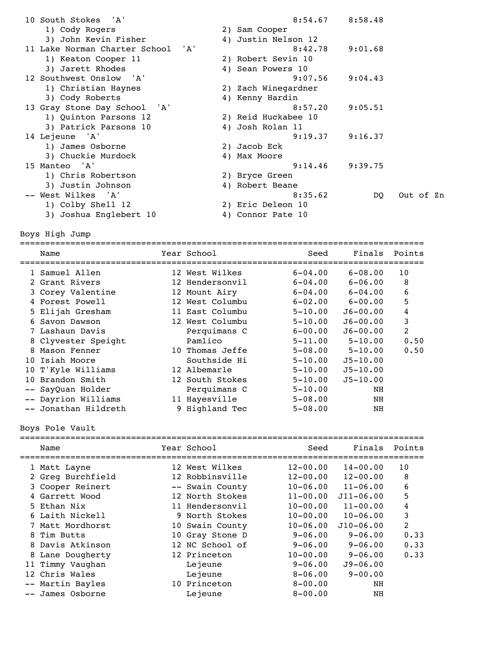| 10 South Stokes 'A'               |                     | $8:54.67$ $8:58.48$ |           |
|-----------------------------------|---------------------|---------------------|-----------|
| 1) Cody Rogers                    | 2) Sam Cooper       |                     |           |
| 3) John Kevin Fisher              | 4) Justin Nelson 12 |                     |           |
| 11 Lake Norman Charter School 'A' | 8:42.78             | 9:01.68             |           |
| 1) Keaton Cooper 11               | 2) Robert Sevin 10  |                     |           |
| 3) Jarett Rhodes                  | 4) Sean Powers 10   |                     |           |
| 12 Southwest Onslow 'A'           | 9:07.56             | 9:04.43             |           |
| 1) Christian Haynes               | 2) Zach Winegardner |                     |           |
| 3) Cody Roberts                   | 4) Kenny Hardin     |                     |           |
| 13 Gray Stone Day School 'A'      | 8:57.20             | 9:05.51             |           |
| 1) Quinton Parsons 12             | 2) Reid Huckabee 10 |                     |           |
| 3) Patrick Parsons 10             | 4) Josh Rolan 11    |                     |           |
| 14 Lejeune 'A'                    | 9:19.37             | 9:16.37             |           |
| 1) James Osborne                  | 2) Jacob Eck        |                     |           |
| 3) Chuckie Murdock                | 4) Max Moore        |                     |           |
| 15 Manteo 'A'                     | 9:14.46             | 9:39.75             |           |
| 1) Chris Robertson                | 2) Bryce Green      |                     |           |
| 3) Justin Johnson                 | 4) Robert Beane     |                     |           |
| -- West Wilkes 'A'                | 8:35.62             | DO.                 | Out of Zn |
| 1) Colby Shell 12                 | 2) Eric Deleon 10   |                     |           |
| 3) Joshua Englebert 10            | 4) Connor Pate 10   |                     |           |
|                                   |                     |                     |           |

Boys High Jump

|  | Name                 | Year School     | Seed        | Finals       | Points |
|--|----------------------|-----------------|-------------|--------------|--------|
|  | 1 Samuel Allen       | 12 West Wilkes  | $6 - 04.00$ | $6 - 08.00$  | 10     |
|  | 2 Grant Rivers       | 12 Hendersonvil | $6 - 04.00$ | $6 - 06.00$  | 8      |
|  | 3 Corey Valentine    | 12 Mount Airy   | $6 - 04.00$ | $6-04.00$    | 6      |
|  | 4 Forest Powell      | 12 West Columbu | $6 - 02.00$ | $6 - 00.00$  | 5      |
|  | 5 Elijah Gresham     | 11 East Columbu | $5 - 10.00$ | $J6 - 00.00$ | 4      |
|  | 6 Savon Dawson       | 12 West Columbu | $5 - 10.00$ | $J6 - 00.00$ | 3      |
|  | 7 Lashaun Davis      | Perquimans C    | $6 - 00.00$ | $J6 - 00.00$ | 2      |
|  | 8 Clyvester Speight  | Pamlico         | $5 - 11.00$ | $5 - 10.00$  | 0.50   |
|  | 8 Mason Fenner       | 10 Thomas Jeffe | $5 - 08.00$ | $5 - 10.00$  | 0.50   |
|  | 10 Isiah Moore       | Southside Hi    | $5 - 10.00$ | $J5 - 10.00$ |        |
|  | 10 T'Kyle Williams   | 12 Albemarle    | $5 - 10.00$ | $J5 - 10.00$ |        |
|  | 10 Brandon Smith     | 12 South Stokes | $5 - 10.00$ | $J5 - 10.00$ |        |
|  | -- SayQuan Holder    | Perquimans C    | $5 - 10.00$ | NH           |        |
|  | -- Dayrion Williams  | 11 Hayesville   | $5 - 08.00$ | NH           |        |
|  | -- Jonathan Hildreth | 9 Highland Tec  | $5 - 08.00$ | ΝH           |        |
|  |                      |                 |             |              |        |

Boys Pole Vault

|      | Name              | Year School     | Seed         | Finals        | Points         |
|------|-------------------|-----------------|--------------|---------------|----------------|
|      | 1 Matt Layne      | 12 West Wilkes  | $12 - 00.00$ | $14 - 00.00$  | 10             |
|      | 2 Greg Burchfield | 12 Robbinsville | $12 - 00.00$ | $12 - 00.00$  | 8              |
|      | 3 Cooper Reinert  | -- Swain County | $10 - 06.00$ | $11 - 06.00$  | 6              |
|      | 4 Garrett Wood    | 12 North Stokes | $11 - 00.00$ | $J11 - 06.00$ | 5              |
|      | 5 Ethan Nix       | 11 Hendersonvil | $10 - 00.00$ | $11 - 00.00$  | 4              |
|      | 6 Laith Nickell   | 9 North Stokes  | $10 - 00.00$ | $10 - 06.00$  | 3              |
|      | 7 Matt Mordhorst  | 10 Swain County | $10 - 06.00$ | $J10 - 06.00$ | $\overline{2}$ |
|      | 8 Tim Butts       | 10 Gray Stone D | $9 - 06.00$  | $9 - 06.00$   | 0.33           |
|      | 8 Davis Atkinson  | 12 NC School of | $9 - 06.00$  | $9 - 06.00$   | 0.33           |
| 8    | Lane Dougherty    | 12 Princeton    | $10 - 00.00$ | $9 - 06.00$   | 0.33           |
|      | 11 Timmy Vaughan  | Lejeune         | $9 - 06.00$  | $J9 - 06.00$  |                |
|      | 12 Chris Wales    | Lejeune         | $8 - 06.00$  | $9 - 00.00$   |                |
| $--$ | Martin Bayles     | 10 Princeton    | $8 - 00.00$  | NH            |                |
|      | James Osborne     | Lejeune         | $8 - 00.00$  | NH            |                |
|      |                   |                 |              |               |                |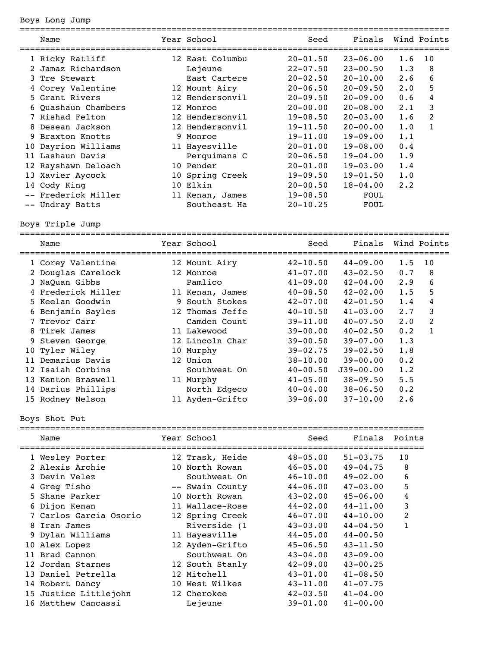## Boys Long Jump

|   | Name                | Year School     | Seed<br>=========================== | Finals       |             | Wind Points |
|---|---------------------|-----------------|-------------------------------------|--------------|-------------|-------------|
|   | 1 Ricky Ratliff     | 12 East Columbu | $20 - 01.50$                        | $23 - 06.00$ | 1.6         | 10          |
| 2 | Jamaz Richardson    | Lejeune         | $22 - 07.50$                        | $23 - 00.50$ | 1.3         | 8           |
|   | 3 Tre Stewart       | East Cartere    | $20 - 02.50$                        | $20 - 10.00$ | 2.6         | 6           |
|   | 4 Corey Valentine   | 12 Mount Airy   | $20 - 06.50$                        | $20 - 09.50$ | $2 \cdot 0$ | 5           |
|   | 5 Grant Rivers      | 12 Hendersonvil | $20 - 09.50$                        | $20 - 09.00$ | 0.6         | 4           |
|   | 6 Quashaun Chambers | 12 Monroe       | $20 - 00.00$                        | $20 - 08.00$ | $2 \cdot 1$ | 3           |
|   | 7 Rishad Felton     | 12 Hendersonvil | $19 - 08.50$                        | $20 - 03.00$ | 1.6         | 2           |
|   | 8 Desean Jackson    | 12 Hendersonvil | $19 - 11.50$                        | $20 - 00.00$ | 1.0         | 1           |
|   | 9 Braxton Knotts    | 9 Monroe        | $19 - 11.00$                        | $19 - 09.00$ | 1.1         |             |
|   | 10 Dayrion Williams | 11 Hayesville   | $20 - 01.00$                        | $19 - 08.00$ | 0.4         |             |
|   | 11 Lashaun Davis    | Perquimans C    | $20 - 06.50$                        | $19 - 04.00$ | 1.9         |             |
|   | 12 Rayshawn Deloach | 10 Pender       | $20 - 01.00$                        | $19 - 03.00$ | 1.4         |             |
|   | 13 Xavier Aycock    | 10 Spring Creek | $19 - 09.50$                        | $19 - 01.50$ | 1.0         |             |
|   | 14 Cody King        | 10 Elkin        | $20 - 00.50$                        | $18 - 04.00$ | $2 \cdot 2$ |             |
|   | -- Frederick Miller | 11 Kenan, James | $19 - 08.50$                        | FOUL         |             |             |
|   | -- Undray Batts     | Southeast Ha    | $20 - 10.25$                        | FOUL         |             |             |

Boys Triple Jump

| Name               | Year School     | Seed         | Finals        |             | Wind Points  |
|--------------------|-----------------|--------------|---------------|-------------|--------------|
| 1 Corey Valentine  | 12 Mount Airy   | $42 - 10.50$ | $44 - 09.00$  | 1.5         | 10           |
| 2 Douglas Carelock | 12 Monroe       | $41 - 07.00$ | $43 - 02.50$  | 0.7         | 8            |
| 3 NaQuan Gibbs     | Pamlico         | $41 - 09.00$ | $42 - 04.00$  | 2.9         | 6            |
| 4 Frederick Miller | 11 Kenan, James | $40 - 08.50$ | $42 - 02.00$  | 1.5         | 5            |
| 5 Keelan Goodwin   | 9 South Stokes  | $42 - 07.00$ | $42 - 01.50$  | 1.4         | 4            |
| 6 Benjamin Sayles  | 12 Thomas Jeffe | $40 - 10.50$ | $41 - 03.00$  | 2.7         | 3            |
| 7 Trevor Carr      | Camden Count    | $39 - 11.00$ | $40 - 07.50$  | $2 \cdot 0$ | 2            |
| 8 Tirek James      | 11 Lakewood     | $39 - 00.00$ | $40 - 02.50$  | 0.2         | $\mathbf{1}$ |
| 9 Steven George    | 12 Lincoln Char | $39 - 00.50$ | $39 - 07.00$  | 1.3         |              |
| 10 Tyler Wiley     | 10 Murphy       | $39 - 02.75$ | $39 - 02.50$  | 1.8         |              |
| 11 Demarius Davis  | 12 Union        | $38 - 10.00$ | $39 - 00.00$  | 0.2         |              |
| 12 Isaiah Corbins  | Southwest On    | $40 - 00.50$ | $J39 - 00.00$ | 1.2         |              |
| 13 Kenton Braswell | 11 Murphy       | $41 - 05.00$ | $38 - 09.50$  | 5.5         |              |
| 14 Darius Phillips | North Edgeco    | $40 - 04.00$ | $38 - 06.50$  | 0.2         |              |
| 15 Rodney Nelson   | 11 Ayden-Grifto | $39 - 06.00$ | $37 - 10.00$  | 2.6         |              |
|                    |                 |              |               |             |              |

Boys Shot Put

|  | Name                   | Year School     | Seed         | Finals       | Points |
|--|------------------------|-----------------|--------------|--------------|--------|
|  | 1 Wesley Porter        | 12 Trask, Heide | $48 - 05.00$ | $51 - 03.75$ | 10     |
|  | 2 Alexis Archie        | 10 North Rowan  | $46 - 05.00$ | $49 - 04.75$ | 8      |
|  | 3 Devin Velez          | Southwest On    | $46 - 10.00$ | $49 - 02.00$ | 6      |
|  | 4 Greg Tisho           | -- Swain County | $44 - 06.00$ | $47 - 03.00$ | 5      |
|  | 5 Shane Parker         | 10 North Rowan  | $43 - 02.00$ | $45 - 06.00$ | 4      |
|  | 6 Dijon Kenan          | 11 Wallace-Rose | $44 - 02.00$ | $44 - 11.00$ | 3      |
|  | 7 Carlos Garcia Osorio | 12 Spring Creek | 46-07.00     | $44 - 10.00$ | 2      |
|  | 8 Iran James           | Riverside (1    | $43 - 03.00$ | $44 - 04.50$ | 1      |
|  | 9 Dylan Williams       | 11 Hayesville   | $44 - 05.00$ | $44 - 00.50$ |        |
|  | 10 Alex Lopez          | 12 Ayden-Grifto | $45 - 06.50$ | $43 - 11.50$ |        |
|  | 11 Brad Cannon         | Southwest On    | $43 - 04.00$ | $43 - 09.00$ |        |
|  | 12 Jordan Starnes      | 12 South Stanly | $42 - 09.00$ | $43 - 00.25$ |        |
|  | 13 Daniel Petrella     | 12 Mitchell     | $43 - 01.00$ | $41 - 08.50$ |        |
|  | 14 Robert Dancy        | 10 West Wilkes  | $43 - 11.00$ | $41 - 07.75$ |        |
|  | 15 Justice Littlejohn  | 12 Cherokee     | $42 - 03.50$ | $41 - 04.00$ |        |
|  | 16 Matthew Cancassi    | Lejeune         | $39 - 01.00$ | $41 - 00.00$ |        |
|  |                        |                 |              |              |        |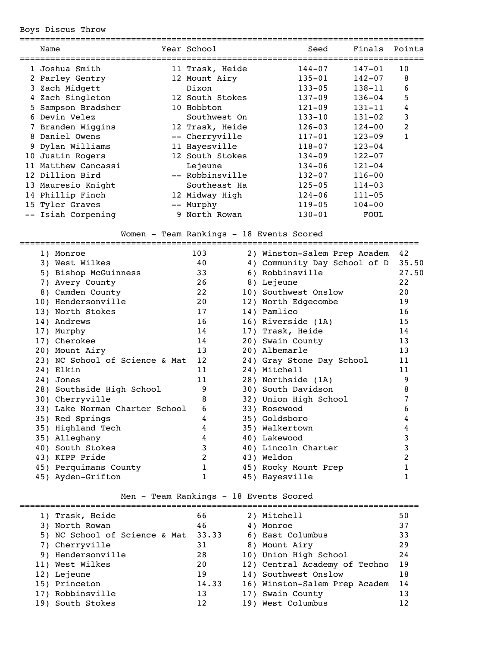Boys Discus Throw

|    | Name               |      | Year School     | Seed       | Finals     | Points |
|----|--------------------|------|-----------------|------------|------------|--------|
|    | 1 Joshua Smith     |      | 11 Trask, Heide | $144 - 07$ | $147 - 01$ | 10     |
|    | 2 Parley Gentry    |      | 12 Mount Airy   | $135 - 01$ | $142 - 07$ | 8      |
|    | 3 Zach Midgett     |      | Dixon           | $133 - 05$ | 138-11     | 6      |
|    | 4 Zach Singleton   |      | 12 South Stokes | $137 - 09$ | $136 - 04$ | 5      |
|    | 5 Sampson Bradsher |      | 10 Hobbton      | $121 - 09$ | 131-11     | 4      |
| 6  | Devin Velez        |      | Southwest On    | $133 - 10$ | $131 - 02$ | 3      |
|    | 7 Branden Wiggins  |      | 12 Trask, Heide | $126 - 03$ | $124 - 00$ | 2      |
|    | 8 Daniel Owens     |      | -- Cherryville  | $117 - 01$ | $123 - 09$ | 1      |
|    | 9 Dylan Williams   |      | 11 Hayesville   | $118 - 07$ | $123 - 04$ |        |
|    | 10 Justin Rogers   |      | 12 South Stokes | $134 - 09$ | $122 - 07$ |        |
| 11 | Matthew Cancassi   |      | Lejeune         | $134 - 06$ | $121 - 04$ |        |
|    | 12 Dillion Bird    |      | -- Robbinsville | $132 - 07$ | $116 - 00$ |        |
|    | 13 Mauresio Knight |      | Southeast Ha    | $125 - 05$ | $114 - 03$ |        |
|    | 14 Phillip Finch   |      | 12 Midway High  | $124 - 06$ | $111 - 05$ |        |
|    | 15 Tyler Graves    | $--$ | Murphy          | $119 - 05$ | $104 - 00$ |        |
|    | -- Isiah Corpening |      | 9 North Rowan   | $130 - 01$ | FOUL       |        |
|    |                    |      |                 |            |            |        |

### Women - Team Rankings - 18 Events Scored

| 1) Monroe                      | 103          | 2) Winston-Salem Prep Academ | 42    |
|--------------------------------|--------------|------------------------------|-------|
| 3) West Wilkes                 | 40           | 4) Community Day School of D | 35.50 |
| 5) Bishop McGuinness           | 33           | 6) Robbinsville              | 27.50 |
| 7) Avery County                | 26           | 8) Lejeune                   | 22    |
| 8) Camden County               | 22           | 10) Southwest Onslow         | 20    |
| 10) Hendersonville             | 20           | 12) North Edgecombe          | 19    |
| 13) North Stokes               | 17           | 14) Pamlico                  | 16    |
| 14) Andrews                    | 16           | 16) Riverside (1A)           | 15    |
| 17) Murphy                     | 14           | 17) Trask, Heide             | 14    |
| 17) Cherokee                   | 14           | 20) Swain County             | 13    |
| 20) Mount Airy                 | 13           | 20) Albemarle                | 13    |
| 23) NC School of Science & Mat | 12           | 24) Gray Stone Day School    | 11    |
| 24) Elkin                      | 11           | 24) Mitchell                 | 11    |
| 24) Jones                      | 11           | 28) Northside (1A)           | 9     |
| 28) Southside High School      | 9            | 30) South Davidson           | 8     |
| 30) Cherryville                | 8            | 32) Union High School        |       |
| 33) Lake Norman Charter School | 6            | 33) Rosewood                 | 6     |
| 35) Red Springs                | 4            | 35) Goldsboro                | 4     |
| 35) Highland Tech              | 4            | 35) Walkertown               | 4     |
| 35) Alleghany                  | 4            | 40) Lakewood                 | 3     |
| 40) South Stokes               | 3            | 40) Lincoln Charter          | 3     |
| 43) KIPP Pride                 | 2            | 43) Weldon                   | 2     |
| 45) Perquimans County          | $\mathbf{1}$ | 45) Rocky Mount Prep         |       |
| 45) Ayden-Grifton              | 1            | 45) Hayesville               |       |

## Men - Team Rankings - 18 Events Scored

|  | 1) Trask, Heide               | 66    | 2) Mitchell                   | 50 |
|--|-------------------------------|-------|-------------------------------|----|
|  | 3) North Rowan                | 46    | 4) Monroe                     | 37 |
|  | 5) NC School of Science & Mat | 33.33 | 6) East Columbus              | 33 |
|  | 7) Cherryville                | 31    | 8) Mount Airy                 | 29 |
|  | 9) Hendersonville             | 28    | 10) Union High School         | 24 |
|  | 11) West Wilkes               | 20    | 12) Central Academy of Techno | 19 |
|  | 12) Lejeune                   | 19    | 14) Southwest Onslow          | 18 |
|  | 15) Princeton                 | 14.33 | 16) Winston-Salem Prep Academ | 14 |
|  | 17) Robbinsville              | 13    | 17) Swain County              | 13 |
|  | 19) South Stokes              | 12    | 19) West Columbus             | 12 |
|  |                               |       |                               |    |